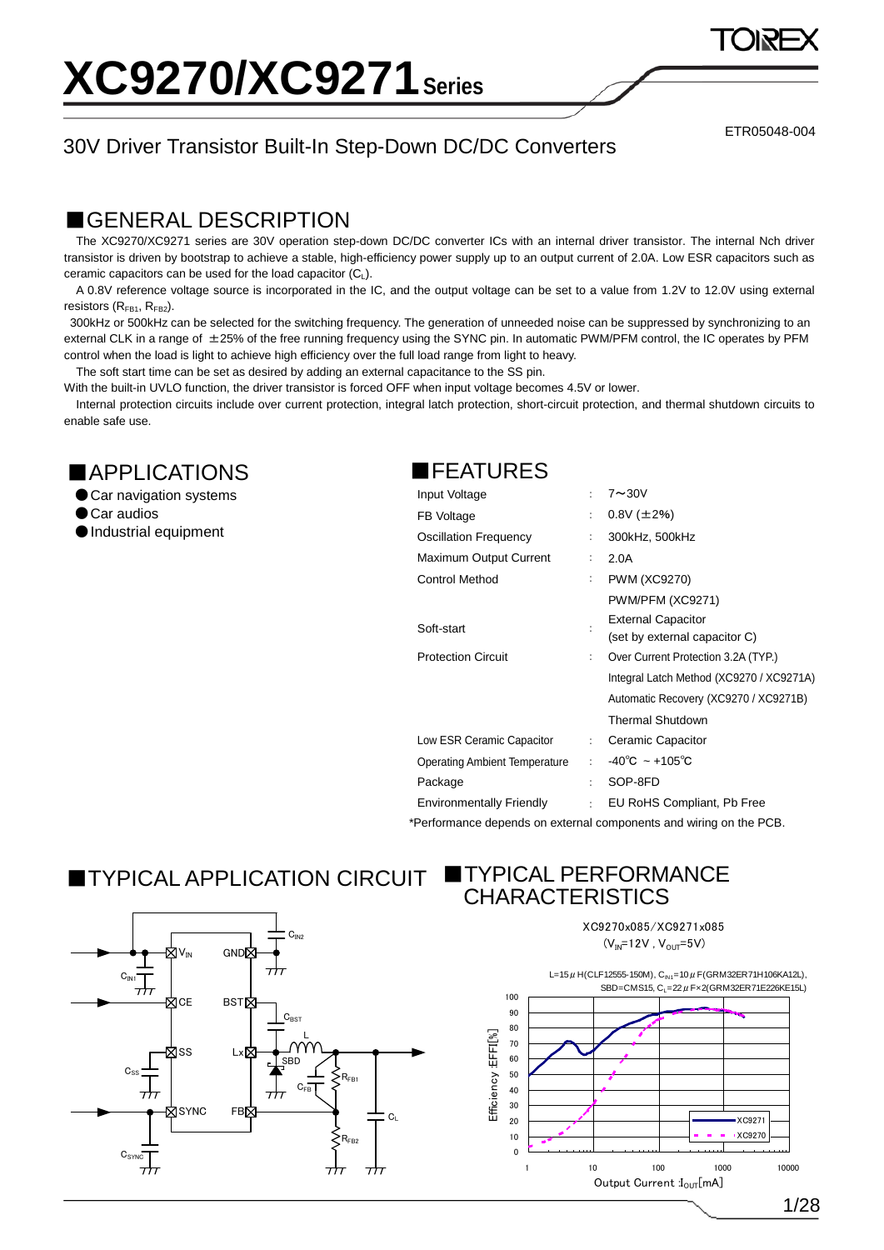### 30V Driver Transistor Built-In Step-Down DC/DC Converters

ETR05048-004

### ■GENERAL DESCRIPTION

The XC9270/XC9271 series are 30V operation step-down DC/DC converter ICs with an internal driver transistor. The internal Nch driver transistor is driven by bootstrap to achieve a stable, high-efficiency power supply up to an output current of 2.0A. Low ESR capacitors such as ceramic capacitors can be used for the load capacitor  $(C_L)$ .

A 0.8V reference voltage source is incorporated in the IC, and the output voltage can be set to a value from 1.2V to 12.0V using external resistors  $(R<sub>FB1</sub>, R<sub>FB2</sub>)$ .

300kHz or 500kHz can be selected for the switching frequency. The generation of unneeded noise can be suppressed by synchronizing to an external CLK in a range of  $\pm$ 25% of the free running frequency using the SYNC pin. In automatic PWM/PFM control, the IC operates by PFM control when the load is light to achieve high efficiency over the full load range from light to heavy.

The soft start time can be set as desired by adding an external capacitance to the SS pin.

With the built-in UVLO function, the driver transistor is forced OFF when input voltage becomes 4.5V or lower.

Internal protection circuits include over current protection, integral latch protection, short-circuit protection, and thermal shutdown circuits to enable safe use.

### ■APPLICATIONS

- Car navigation systems
- Car audios

●Industrial equipment

### ■FEATURES

| Input Voltage                        | ÷ | $7 \sim 30V$                             |
|--------------------------------------|---|------------------------------------------|
| FB Voltage                           | ÷ | $0.8V$ ( $\pm$ 2%)                       |
| Oscillation Frequency                |   | 300kHz, 500kHz                           |
| Maximum Output Current               | ÷ | 2.0A                                     |
| <b>Control Method</b>                | : | <b>PWM (XC9270)</b>                      |
|                                      |   | PWM/PFM (XC9271)                         |
| Soft-start                           |   | <b>External Capacitor</b>                |
|                                      |   | (set by external capacitor C)            |
| <b>Protection Circuit</b>            | ÷ | Over Current Protection 3.2A (TYP.)      |
|                                      |   | Integral Latch Method (XC9270 / XC9271A) |
|                                      |   | Automatic Recovery (XC9270 / XC9271B)    |
|                                      |   | <b>Thermal Shutdown</b>                  |
| Low ESR Ceramic Capacitor            | ÷ | Ceramic Capacitor                        |
| <b>Operating Ambient Temperature</b> | t | $-40^{\circ}$ C ~ +105 $^{\circ}$ C      |
| Package                              | t | SOP-8FD                                  |
| <b>Environmentally Friendly</b>      | ÷ | EU RoHS Compliant, Pb Free               |

\*Performance depends on external components and wiring on the PCB.

## ■TYPICAL APPLICATION CIRCUIT ■TYPICAL PERFORMANCE



# CHARACTERISTICS

XC9270x085/XC9271x085  $(V_{IN} = 12V, V_{OUT} = 5V)$ 



1/28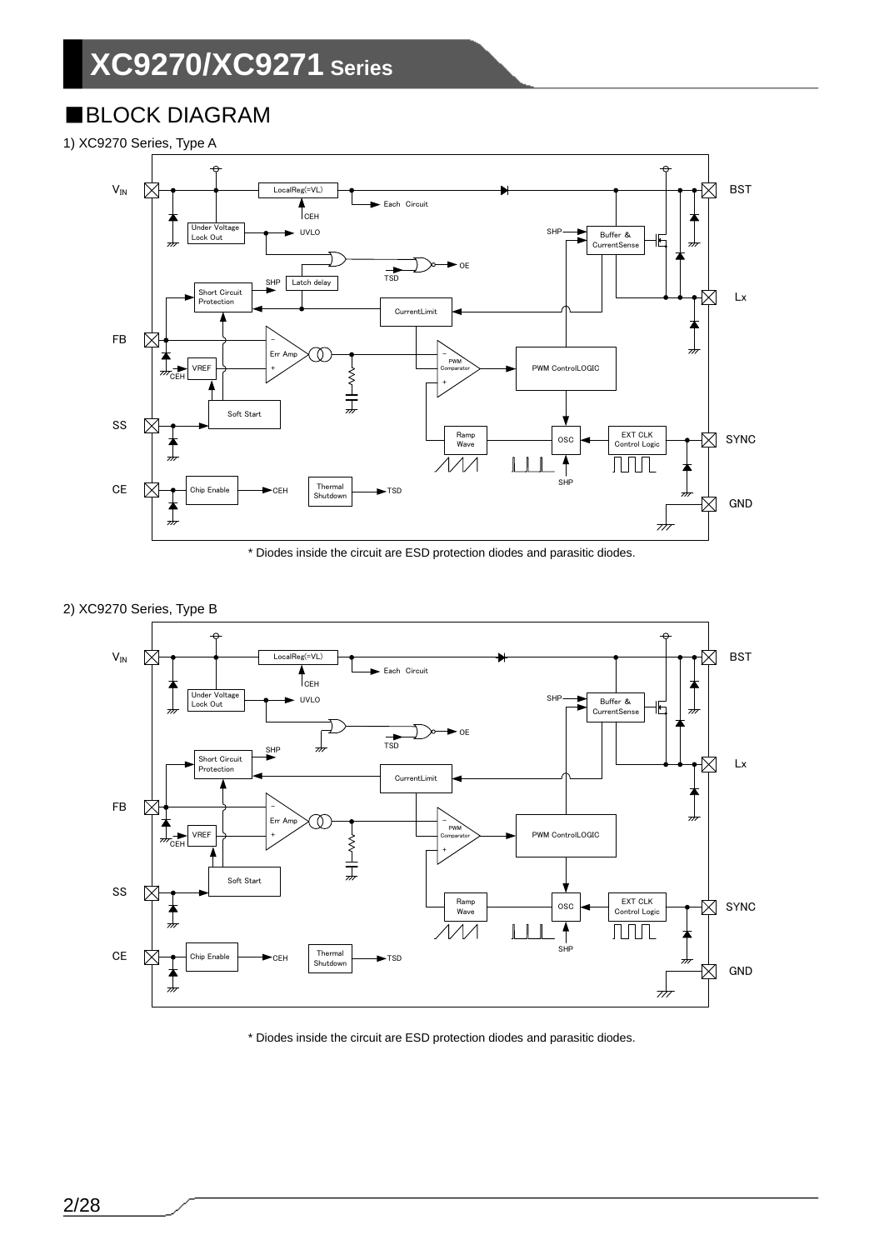## ■BLOCK DIAGRAM

1) XC9270 Series, Type A



\* Diodes inside the circuit are ESD protection diodes and parasitic diodes.





\* Diodes inside the circuit are ESD protection diodes and parasitic diodes.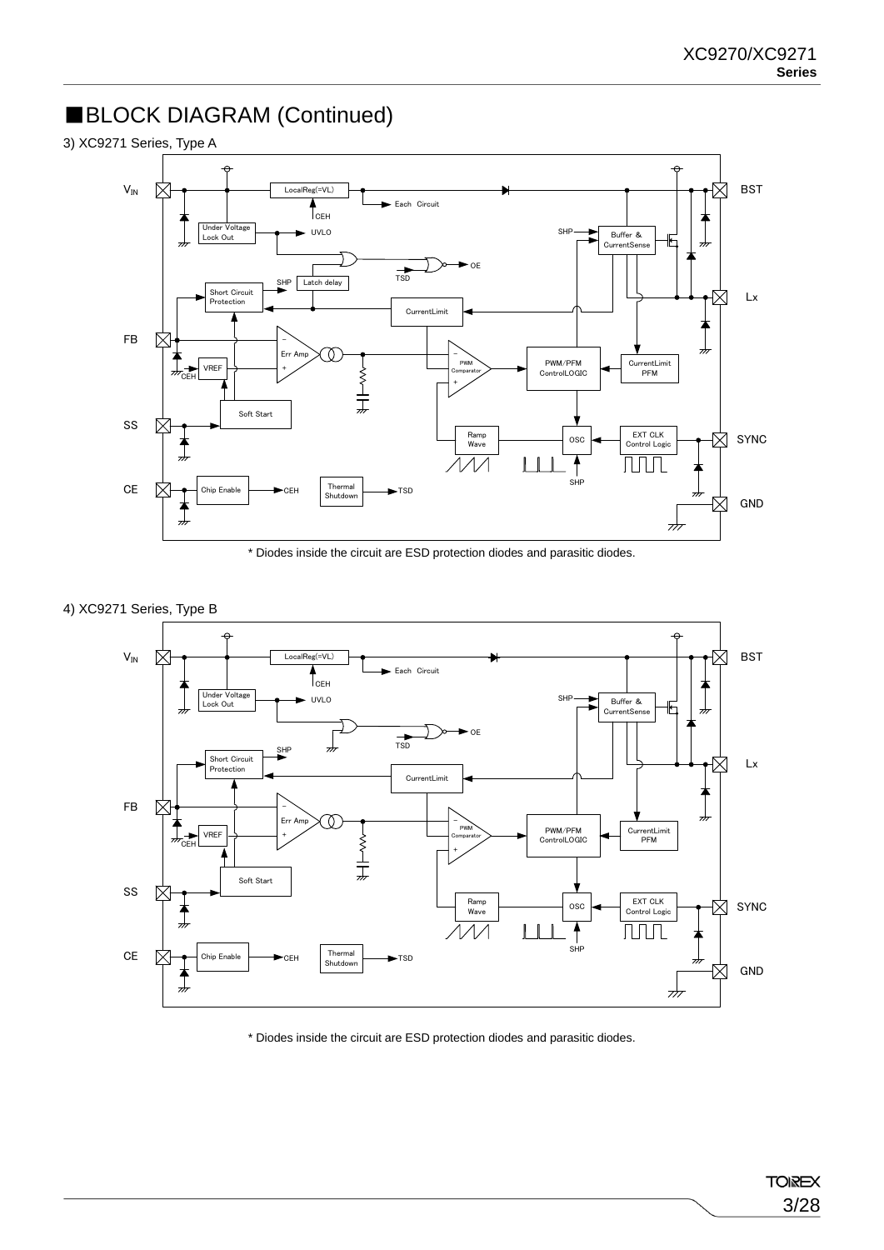## ■BLOCK DIAGRAM (Continued)



\* Diodes inside the circuit are ESD protection diodes and parasitic diodes.





\* Diodes inside the circuit are ESD protection diodes and parasitic diodes.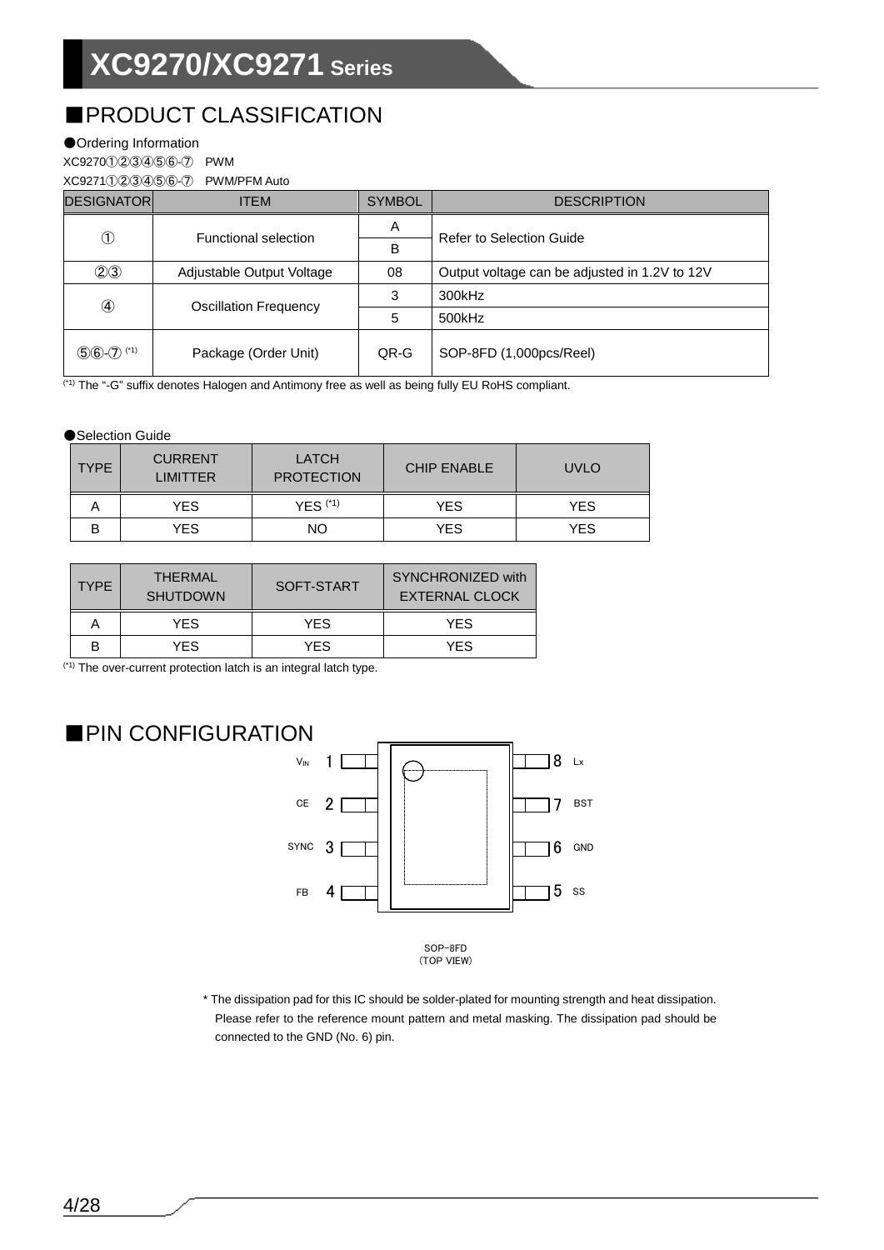## ■PRODUCT CLASSIFICATION

### ●Ordering Information

XC9270①②③④⑤⑥-⑦ PWM

| XC9271(1)2)3)4)5)6-(7) | <b>PWM/PFM Auto</b> |
|------------------------|---------------------|
|                        |                     |

| <b>DESIGNATORI</b> | <b>ITEM</b>                  | <b>SYMBOL</b> | <b>DESCRIPTION</b>                            |
|--------------------|------------------------------|---------------|-----------------------------------------------|
| $^\circledR$       | Functional selection         | A             | <b>Refer to Selection Guide</b>               |
|                    |                              | B             |                                               |
| (2)3               | Adjustable Output Voltage    | 08            | Output voltage can be adjusted in 1.2V to 12V |
| ④                  | <b>Oscillation Frequency</b> | 3             | 300kHz                                        |
|                    |                              | 5             | 500kHz                                        |
| $56 - 7$ (*1)      | Package (Order Unit)         | QR-G          | SOP-8FD (1,000pcs/Reel)                       |

(\*1) The "-G" suffix denotes Halogen and Antimony free as well as being fully EU RoHS compliant.

### ●Selection Guide

| <b>TYPE</b> | <b>CURRENT</b><br><b>LIMITTER</b> | <b>LATCH</b><br><b>PROTECTION</b> | <b>CHIP ENABLE</b> | <b>UVLO</b> |
|-------------|-----------------------------------|-----------------------------------|--------------------|-------------|
|             | YES.                              | $YES$ $(1)$                       | YES.               | YES         |
| в           | YES.                              | NO.                               | YES.               | YES         |

| <b>TYPE</b> | THERMAL<br><b>SHUTDOWN</b> | SOFT-START | SYNCHRONIZED with<br><b>EXTERNAL CLOCK</b> |  |  |
|-------------|----------------------------|------------|--------------------------------------------|--|--|
|             | YFS                        | <b>YFS</b> | YFS                                        |  |  |
| B           | YFS                        | YFS        | YFS                                        |  |  |

(\*1) The over-current protection latch is an integral latch type.



\* The dissipation pad for this IC should be solder-plated for mounting strength and heat dissipation. Please refer to the reference mount pattern and metal masking. The dissipation pad should be connected to the GND (No. 6) pin.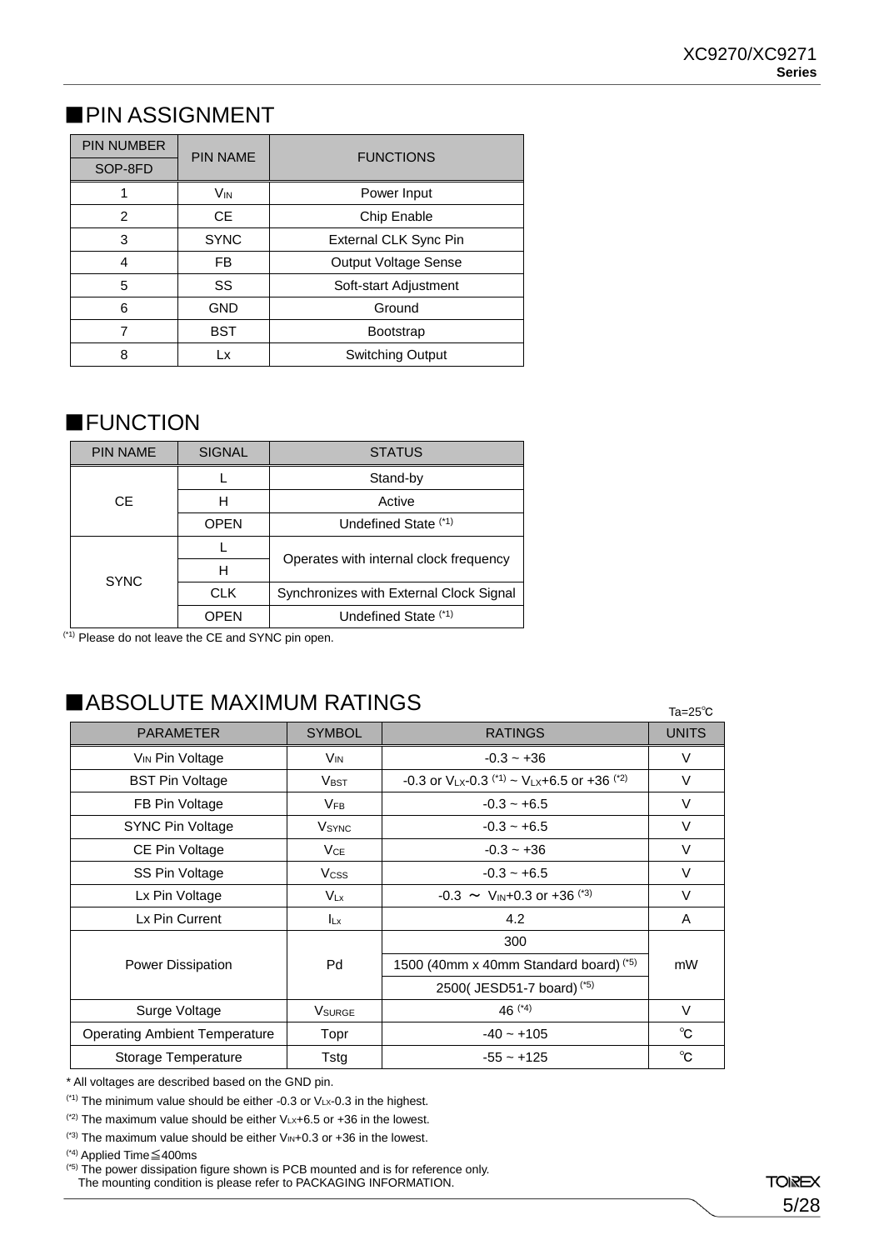## ■ PIN ASSIGNMENT

| <b>PIN NUMBER</b> | <b>PIN NAME</b> | <b>FUNCTIONS</b>            |
|-------------------|-----------------|-----------------------------|
| SOP-8FD           |                 |                             |
|                   | V <sub>IN</sub> | Power Input                 |
| 2                 | <b>CE</b>       | Chip Enable                 |
| 3                 | <b>SYNC</b>     | External CLK Sync Pin       |
| 4                 | FB              | <b>Output Voltage Sense</b> |
| 5                 | SS              | Soft-start Adjustment       |
| 6                 | <b>GND</b>      | Ground                      |
| 7                 | <b>BST</b>      | <b>Bootstrap</b>            |
| 8                 | Lx              | Switching Output            |

### ■**FUNCTION**

| <b>PIN NAME</b> | <b>SIGNAL</b> | <b>STATUS</b>                           |  |  |  |
|-----------------|---------------|-----------------------------------------|--|--|--|
|                 |               | Stand-by                                |  |  |  |
| CE.             | н             | Active                                  |  |  |  |
|                 | <b>OPEN</b>   | Undefined State (*1)                    |  |  |  |
|                 |               |                                         |  |  |  |
|                 | н             | Operates with internal clock frequency  |  |  |  |
| <b>SYNC</b>     | <b>CLK</b>    | Synchronizes with External Clock Signal |  |  |  |
|                 | <b>OPEN</b>   | Undefined State (*1)                    |  |  |  |

(\*1) Please do not leave the CE and SYNC pin open.

## ■ABSOLUTE MAXIMUM RATINGS

Ta=25℃

| <b>PARAMETER</b>                     | <b>SYMBOL</b>            | <b>RATINGS</b>                                            | <b>UNITS</b> |  |
|--------------------------------------|--------------------------|-----------------------------------------------------------|--------------|--|
| V <sub>IN</sub> Pin Voltage          | V <sub>IN</sub>          | $-0.3 - +36$                                              | V            |  |
| <b>BST Pin Voltage</b>               | <b>VBST</b>              | -0.3 or $V_{LX}$ -0.3 $(1) \sim V_{LX}$ +6.5 or +36 $(2)$ | $\vee$       |  |
| FB Pin Voltage                       | <b>V<sub>FB</sub></b>    | $-0.3 - +6.5$                                             | $\vee$       |  |
| SYNC Pin Voltage                     | <b>V</b> <sub>SYNC</sub> | $-0.3 - +6.5$                                             | $\vee$       |  |
| CE Pin Voltage                       | <b>V<sub>CE</sub></b>    | $-0.3 - +36$                                              | $\vee$       |  |
| SS Pin Voltage                       | <b>V</b> css             | $-0.3 - +6.5$                                             | $\vee$       |  |
| Lx Pin Voltage                       | $V_{Lx}$                 | $-0.3 \sim V_{\text{IN}} + 0.3$ or $+36$ <sup>(*3)</sup>  | V            |  |
| Lx Pin Current                       | $I_{Lx}$                 | 4.2                                                       | A            |  |
|                                      |                          | 300                                                       |              |  |
| <b>Power Dissipation</b>             | Pd                       | 1500 (40mm x 40mm Standard board) (*5)                    | mW           |  |
|                                      |                          | 2500(JESD51-7 board) <sup>(*5)</sup>                      |              |  |
| Surge Voltage                        | <b>V</b> SURGE           | 46 $(4)$                                                  | V            |  |
| <b>Operating Ambient Temperature</b> | Topr                     | $-40 - +105$                                              | $^{\circ}$ C |  |
| Storage Temperature                  | Tstg                     | $-55 - +125$                                              | $^{\circ}$ C |  |

\* All voltages are described based on the GND pin.

 $(1)$  The minimum value should be either -0.3 or VLx-0.3 in the highest.

 $(2)$  The maximum value should be either VLx+6.5 or +36 in the lowest.

 $(3)$  The maximum value should be either VIN+0.3 or +36 in the lowest.

(\*4) Applied Time≦400ms

(\*5) The power dissipation figure shown is PCB mounted and is for reference only.

The mounting condition is please refer to PACKAGING INFORMATION.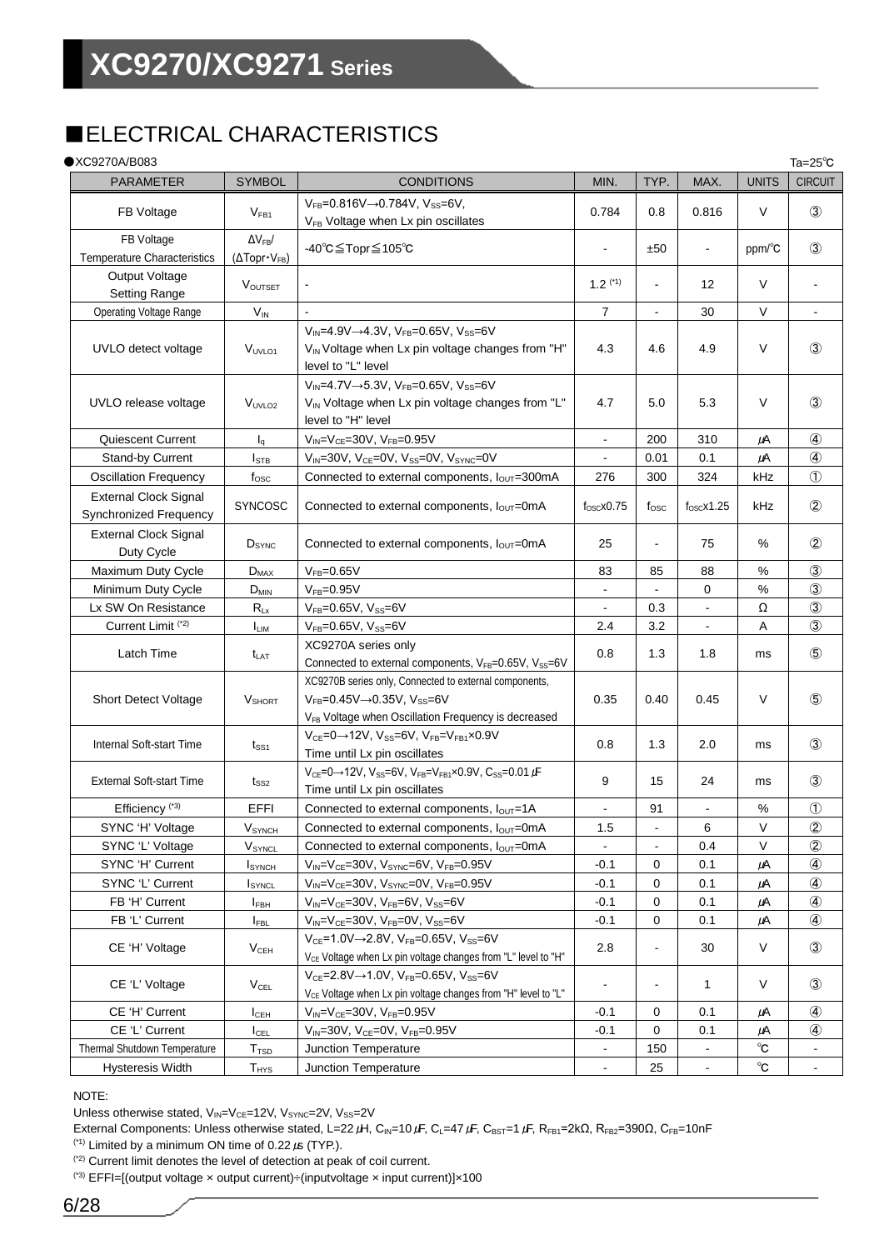## ■ELECTRICAL CHARACTERISTICS

### $\bullet$  XC9270 A/B086

| ●XC9270A/B083                                          |                                                          |                                                                                                                                                                                       |                     |                |                     |              | Ta=25 $^{\circ}$ C |
|--------------------------------------------------------|----------------------------------------------------------|---------------------------------------------------------------------------------------------------------------------------------------------------------------------------------------|---------------------|----------------|---------------------|--------------|--------------------|
| <b>PARAMETER</b>                                       | <b>SYMBOL</b>                                            | <b>CONDITIONS</b>                                                                                                                                                                     | MIN.                | TYP.           | MAX.                | <b>UNITS</b> | <b>CIRCUIT</b>     |
| FB Voltage                                             | V <sub>FB1</sub>                                         | $V_{FB} = 0.816V \rightarrow 0.784V$ , $V_{SS} = 6V$ ,<br>V <sub>FB</sub> Voltage when Lx pin oscillates                                                                              | 0.784               | 0.8            | 0.816               | V            | $\circled{3}$      |
| FB Voltage<br><b>Temperature Characteristics</b>       | $\Delta V_{FB}$ /<br>$(\Delta \text{Topr} \cdot V_{FB})$ | -40°C≦Topr≦105°C                                                                                                                                                                      |                     | ±50            | $\blacksquare$      | ppm/°C       | $\circled{3}$      |
| Output Voltage<br><b>Setting Range</b>                 | VOUTSET                                                  |                                                                                                                                                                                       | $1.2$ (*1)          | $\overline{a}$ | 12                  | V            |                    |
| <b>Operating Voltage Range</b>                         | $\mathsf{V}_{\mathsf{IN}}$                               |                                                                                                                                                                                       | 7                   |                | 30                  | $\vee$       |                    |
| UVLO detect voltage                                    | V <sub>UVLO1</sub>                                       | $V_{IN} = 4.9V \rightarrow 4.3V$ , $V_{FB} = 0.65V$ , $V_{SS} = 6V$<br>V <sub>IN</sub> Voltage when Lx pin voltage changes from "H"<br>level to "L" level                             | 4.3                 | 4.6            | 4.9                 | V            | $\circled{3}$      |
| UVLO release voltage                                   | V <sub>UVLO2</sub>                                       | $V_{IN} = 4.7V \rightarrow 5.3V$ , $V_{FB} = 0.65V$ , $V_{SS} = 6V$<br>V <sub>IN</sub> Voltage when Lx pin voltage changes from "L"<br>level to "H" level                             | 4.7                 | 5.0            | 5.3                 | V            | $\circled{3}$      |
| Quiescent Current                                      | $I_{\alpha}$                                             | $V_{IN} = V_{CE} = 30V$ , $V_{FB} = 0.95V$                                                                                                                                            | $\blacksquare$      | 200            | 310                 | μA           | $\circled{4}$      |
| Stand-by Current                                       | $I_{\text{STB}}$                                         | $V_{IN}$ =30V, V <sub>CE</sub> =0V, V <sub>SS</sub> =0V, V <sub>SYNC</sub> =0V                                                                                                        | $\blacksquare$      | 0.01           | 0.1                 | μA           | 4                  |
| <b>Oscillation Frequency</b>                           | $f_{\rm osc}$                                            | Connected to external components, I <sub>OUT</sub> =300mA                                                                                                                             | 276                 | 300            | 324                 | kHz          | $\circled{1}$      |
| <b>External Clock Signal</b><br>Synchronized Frequency | <b>SYNCOSC</b>                                           | Connected to external components, $I_{\text{OUT}}$ =0mA                                                                                                                               | $f_{\rm OSC}$ x0.75 | $t_{\rm osc}$  | $f_{\rm OSC}$ x1.25 | kHz          | $\circled{2}$      |
| <b>External Clock Signal</b><br>Duty Cycle             | $D_{\text{SYNC}}$                                        | Connected to external components, $I_{\text{OUT}}$ =0mA                                                                                                                               | 25                  |                | 75                  | %            | $\circled{2}$      |
| Maximum Duty Cycle                                     | $D_{MAX}$                                                | $V_{FB} = 0.65V$                                                                                                                                                                      | 83                  | 85             | 88                  | $\%$         | $\circled{3}$      |
| Minimum Duty Cycle                                     | $D_{MIN}$                                                | $V_{FB} = 0.95V$                                                                                                                                                                      | $\blacksquare$      |                | 0                   | $\%$         | $\circled{3}$      |
| Lx SW On Resistance                                    | $R_{Lx}$                                                 | $V_{FB}$ =0.65V, $V_{SS}$ =6V                                                                                                                                                         | $\blacksquare$      | 0.3            | $\blacksquare$      | Ω            | $\circled{3}$      |
| Current Limit <sup>(*2)</sup>                          | $I_{LIM}$                                                | $V_{FB} = 0.65V, V_{SS} = 6V$                                                                                                                                                         | 2.4                 | 3.2            | $\blacksquare$      | Α            | $\circled{3}$      |
| Latch Time                                             | t <sub>lat</sub>                                         | XC9270A series only<br>Connected to external components, VFB=0.65V, Vss=6V                                                                                                            | 0.8                 | 1.3            | 1.8                 | ms           | $\circledS$        |
| <b>Short Detect Voltage</b>                            | V <sub>SHORT</sub>                                       | XC9270B series only, Connected to external components,<br>$V_{FB}$ =0.45V $\rightarrow$ 0.35V, V <sub>SS</sub> =6V<br>V <sub>FB</sub> Voltage when Oscillation Frequency is decreased | 0.35                | 0.40           | 0.45                | $\vee$       | $\circledS$        |
| Internal Soft-start Time                               | $t_{\scriptstyle\rm SS1}$                                | $V_{CE}$ =0 $\rightarrow$ 12V, V <sub>SS</sub> =6V, V <sub>FB</sub> =V <sub>FB1</sub> ×0.9V<br>Time until Lx pin oscillates                                                           | 0.8                 | 1.3            | 2.0                 | ms           | $\circled{3}$      |
| <b>External Soft-start Time</b>                        | $t_{SS2}$                                                | $V_{CE} = 0 \rightarrow 12V$ , $V_{SS} = 6V$ , $V_{FB} = V_{FB1} \times 0.9V$ , $C_{SS} = 0.01 \mu F$<br>Time until Lx pin oscillates                                                 | 9                   | 15             | 24                  | ms           | $\circled{3}$      |
| Efficiency <sup>(*3)</sup>                             | EFFI                                                     | Connected to external components, $I_{\text{OUT}}=1\text{A}$                                                                                                                          |                     | 91             |                     | %            | $\circled{1}$      |
| SYNC 'H' Voltage                                       | Vsүnсн                                                   | Connected to external components, louT=0mA                                                                                                                                            | 1.5                 |                | 6                   | V            | $\circled{2}$      |
| SYNC 'L' Voltage                                       | V <sub>SYNCL</sub>                                       | Connected to external components, $I_{OUT}$ =0mA                                                                                                                                      |                     |                | 0.4                 | V            | $^{\circledR}$     |
| SYNC 'H' Current                                       | <b>I</b> synch                                           | $V_{IN} = V_{CE} = 30V$ , $V_{SYNC} = 6V$ , $V_{FB} = 0.95V$                                                                                                                          | $-0.1$              | 0              | 0.1                 | μA           | ④                  |
| SYNC 'L' Current                                       | <b>I</b> SYNCL                                           | $V_{IN} = V_{CE} = 30V$ , $V_{SYNC} = 0V$ , $V_{FB} = 0.95V$                                                                                                                          | $-0.1$              | 0              | 0.1                 | $\mu$ A      | ④                  |
| FB 'H' Current                                         | $I_{FBH}$                                                | $V_{IN} = V_{CE} = 30V$ , $V_{FB} = 6V$ , $V_{SS} = 6V$                                                                                                                               | $-0.1$              | 0              | 0.1                 | $\mu$ A      | $\circled{4}$      |
| FB 'L' Current                                         | <b>IFBL</b>                                              | $V_{IN} = V_{CE} = 30V$ , $V_{FB} = 0V$ , $V_{SS} = 6V$                                                                                                                               | $-0.1$              | 0              | 0.1                 | $\mu$ A      | 4                  |
| CE 'H' Voltage                                         | V <sub>CEH</sub>                                         | $V_{CE} = 1.0V \rightarrow 2.8V$ , $V_{FB} = 0.65V$ , $V_{SS} = 6V$<br>V <sub>CE</sub> Voltage when Lx pin voltage changes from "L" level to "H"                                      | 2.8                 |                | 30                  | V            | $\circled{3}$      |
| CE 'L' Voltage                                         | $V_{\text{CEL}}$                                         | $V_{CE} = 2.8V \rightarrow 1.0V$ , $V_{FB} = 0.65V$ , $V_{SS} = 6V$<br>V <sub>CE</sub> Voltage when Lx pin voltage changes from "H" level to "L"                                      |                     | $\blacksquare$ | 1                   | V            | $\circled{3}$      |
| CE 'H' Current                                         | I <sub>CEH</sub>                                         | $V_{IN} = V_{CE} = 30V$ , $V_{FB} = 0.95V$                                                                                                                                            | $-0.1$              | 0              | 0.1                 | μA           | 4                  |
| CE 'L' Current                                         | $I_{\text{CEL}}$                                         | $V_{IN} = 30V$ , $V_{CE} = 0V$ , $V_{FB} = 0.95V$                                                                                                                                     | $-0.1$              | $\mathbf 0$    | 0.1                 | μA           | ④                  |
| Thermal Shutdown Temperature                           | T <sub>TSD</sub>                                         | Junction Temperature                                                                                                                                                                  |                     | 150            |                     | $^{\circ}$ C |                    |
| <b>Hysteresis Width</b>                                | $T_{HYS}$                                                | Junction Temperature                                                                                                                                                                  |                     | 25             |                     | $^{\circ}$ C |                    |

### NOTE:

Unless otherwise stated,  $V_{\text{IN}}=V_{\text{CE}}=12V$ ,  $V_{\text{SYNC}}=2V$ ,  $V_{\text{SS}}=2V$ 

External Components: Unless otherwise stated, L=22  $\mu$ H, C<sub>IN</sub>=10  $\mu$ F, C<sub>L</sub>=47  $\mu$ F, C<sub>BST</sub>=1  $\mu$ F, R<sub>FB1</sub>=2k $\Omega$ , R<sub>FB2</sub>=390 $\Omega$ , C<sub>FB</sub>=10nF

(\*1) Limited by a minimum ON time of  $0.22 \mu s$  (TYP.).

(\*2) Current limit denotes the level of detection at peak of coil current.

(\*3) EFFI=[(output voltage × output current)÷(inputvoltage × input current)]×100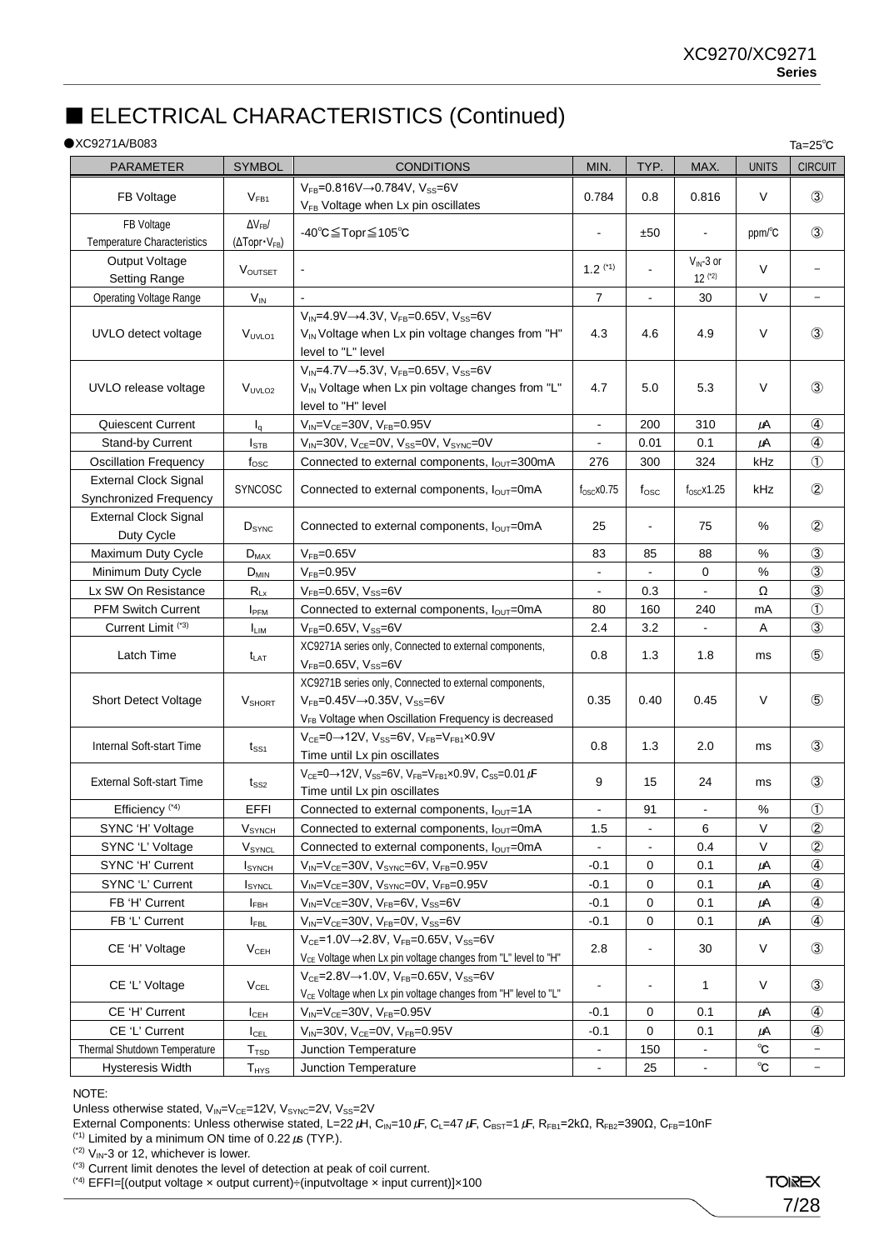## ■ ELECTRICAL CHARACTERISTICS (Continued)

### ●XC9271A/B083

| $\bullet$ XC9271A/B083                                 |                                                        |                                                                                                                                                                          |                              |                              |                             |                      | Ta= $25^{\circ}$ C       |
|--------------------------------------------------------|--------------------------------------------------------|--------------------------------------------------------------------------------------------------------------------------------------------------------------------------|------------------------------|------------------------------|-----------------------------|----------------------|--------------------------|
| <b>PARAMETER</b>                                       | <b>SYMBOL</b>                                          | <b>CONDITIONS</b>                                                                                                                                                        | MIN.                         | TYP.                         | MAX.                        | <b>UNITS</b>         | <b>CIRCUIT</b>           |
| FB Voltage                                             | $V_{FB1}$                                              | $V_{FB} = 0.816V \rightarrow 0.784V$ , $V_{SS} = 6V$<br>V <sub>FB</sub> Voltage when Lx pin oscillates                                                                   | 0.784                        | 0.8                          | 0.816                       | V                    | $\circled{3}$            |
| FB Voltage<br><b>Temperature Characteristics</b>       | $\Delta V_{FB}$<br>$(\Delta \text{Topr} \cdot V_{FB})$ | -40°C≦Topr≦105°C                                                                                                                                                         | $\blacksquare$               | ±50                          |                             | ppm/°C               | $\circled{3}$            |
| Output Voltage<br><b>Setting Range</b>                 | <b>VOUTSET</b>                                         |                                                                                                                                                                          | $1.2$ (*1)                   |                              | $V_{IN}$ -3 or<br>$12$ (*2) | V                    |                          |
| <b>Operating Voltage Range</b>                         | $V_{IN}$                                               |                                                                                                                                                                          | 7                            | $\blacksquare$               | 30                          | V                    | $\overline{\phantom{a}}$ |
|                                                        |                                                        | $V_{IN} = 4.9V \rightarrow 4.3V$ , $V_{FB} = 0.65V$ , $V_{SS} = 6V$                                                                                                      |                              |                              |                             |                      |                          |
| UVLO detect voltage                                    | V <sub>UVLO1</sub>                                     | V <sub>IN</sub> Voltage when Lx pin voltage changes from "H"<br>level to "L" level                                                                                       | 4.3                          | 4.6                          | 4.9                         | V                    | $\circled{3}$            |
| UVLO release voltage                                   | V <sub>UVLO2</sub>                                     | $V_{IN} = 4.7V \rightarrow 5.3V$ , $V_{FB} = 0.65V$ , $V_{SS} = 6V$<br>V <sub>IN</sub> Voltage when Lx pin voltage changes from "L"<br>level to "H" level                | 4.7                          | 5.0                          | 5.3                         | V                    | $\circled{3}$            |
| <b>Quiescent Current</b>                               | $I_q$                                                  | $V_{IN} = V_{CE} = 30V$ , $V_{FB} = 0.95V$                                                                                                                               | $\blacksquare$               | 200                          | 310                         | μA                   | $\circled{4}$            |
| <b>Stand-by Current</b>                                | $I_{\text{STB}}$                                       | $V_{IN}$ =30V, V <sub>CE</sub> =0V, V <sub>SS</sub> =0V, V <sub>SYNC</sub> =0V                                                                                           | ä,                           | 0.01                         | 0.1                         | $\mu$ A              | 4                        |
| <b>Oscillation Frequency</b>                           | $f_{\rm{OSC}}$                                         | Connected to external components, louT=300mA                                                                                                                             | 276                          | 300                          | 324                         | kHz                  | $\circled{1}$            |
| <b>External Clock Signal</b><br>Synchronized Frequency | SYNCOSC                                                | Connected to external components, $I_{OUT}$ =0mA                                                                                                                         | $f_{OSC}$ x0.75              | $t_{\rm osc}$                | $f_{\rm OSC}$ x1.25         | kHz                  | $^{\circledR}$           |
| <b>External Clock Signal</b><br>Duty Cycle             | $D_{\text{SYNC}}$                                      | Connected to external components, $I_{OUT}$ =0mA                                                                                                                         | 25                           | $\blacksquare$               | 75                          | %                    | $^{\circledR}$           |
| Maximum Duty Cycle                                     | $D_{MAX}$                                              | $V_{FB} = 0.65V$                                                                                                                                                         | 83                           | 85                           | 88                          | $\%$                 | $\circled{3}$            |
| Minimum Duty Cycle                                     | $D_{MIN}$                                              | $V_{FB} = 0.95V$                                                                                                                                                         |                              |                              | 0                           | %                    | $\circled{3}$            |
| Lx SW On Resistance                                    | $R_{Lx}$                                               | $V_{FB} = 0.65V, V_{SS} = 6V$                                                                                                                                            |                              | 0.3                          |                             | Ω                    | $\circled{3}$            |
| <b>PFM Switch Current</b>                              | IPFM                                                   | Connected to external components, louT=0mA                                                                                                                               | 80                           | 160                          | 240                         | mA                   | $\circled{1}$            |
| Current Limit <sup>(*3)</sup>                          | <b>ILIM</b>                                            | $V_{FB} = 0.65V, V_{SS} = 6V$                                                                                                                                            | 2.4                          | 3.2                          |                             | Α                    | $\circled{3}$            |
| Latch Time                                             | $t_{LAT}$                                              | XC9271A series only, Connected to external components,<br>$V_{FB} = 0.65V, V_{SS} = 6V$                                                                                  | 0.8                          | 1.3                          | 1.8                         | ms                   | $\circledS$              |
| <b>Short Detect Voltage</b>                            | <b>V</b> SHORT                                         | XC9271B series only, Connected to external components,<br>$V_{FB}$ =0.45V $\rightarrow$ 0.35V, Vss=6V<br>V <sub>FB</sub> Voltage when Oscillation Frequency is decreased | 0.35                         | 0.40                         | 0.45                        | V                    | $\circledS$              |
| Internal Soft-start Time                               | $t_{\scriptstyle\rm SS1}$                              | $V_{CE}$ =0 $\rightarrow$ 12V, V <sub>SS</sub> =6V, V <sub>FB</sub> =V <sub>FB1</sub> ×0.9V<br>Time until Lx pin oscillates                                              | 0.8                          | 1.3                          | 2.0                         | ms                   | 3                        |
| <b>External Soft-start Time</b>                        | t <sub>SS2</sub>                                       | $V_{CE} = 0 \rightarrow 12V$ , $V_{SS} = 6V$ , $V_{FB} = V_{FB1} \times 0.9V$ , $C_{SS} = 0.01 \mu F$<br>Time until Lx pin oscillates                                    | 9                            | 15                           | 24                          | ms                   | $\circled{3}$            |
| Efficiency $(4)$                                       | <b>EFFI</b>                                            | Connected to external components, $I_{\text{OUT}}=1\text{A}$                                                                                                             | $\Box$                       | 91                           |                             | $\%$                 | $\circled{1}$            |
| SYNC 'H' Voltage                                       | V <sub>SYNCH</sub>                                     | Connected to external components, louT=0mA                                                                                                                               | 1.5                          |                              | 6                           | $\vee$               | $^{\circledR}$           |
| SYNC 'L' Voltage                                       | V <sub>SYNCL</sub>                                     | Connected to external components, louT=0mA                                                                                                                               |                              |                              | 0.4                         | V                    | $^{\circledR}$           |
| SYNC 'H' Current                                       | <b>I</b> SYNCH                                         | $V_{IN} = V_{CE} = 30V$ , $V_{SYNC} = 6V$ , $V_{FB} = 0.95V$                                                                                                             | $-0.1$                       | 0                            | 0.1                         | μA                   | ④                        |
| SYNC 'L' Current                                       | <b>I</b> SYNCL                                         | $V_{IN} = V_{CE} = 30V$ , $V_{SYNC} = 0V$ , $V_{FB} = 0.95V$                                                                                                             | -0.1                         | 0                            | 0.1                         | μA                   | ④                        |
| FB 'H' Current                                         | <b>I</b> FBH                                           | $V_{IN} = V_{CE} = 30V$ , $V_{FB} = 6V$ , $V_{SS} = 6V$                                                                                                                  | $-0.1$                       | 0                            | 0.1                         | μA                   | $\circled{4}$            |
| FB 'L' Current                                         | <b>I</b> FBL                                           | $V_{IN} = V_{CE} = 30V$ , $V_{FB} = 0V$ , $V_{SS} = 6V$                                                                                                                  | $-0.1$                       | 0                            | 0.1                         | μA                   | ④                        |
| CE 'H' Voltage                                         | $V_{CEH}$                                              | $V_{CE} = 1.0 V \rightarrow 2.8 V$ , $V_{FB} = 0.65 V$ , $V_{SS} = 6 V$<br>V <sub>CE</sub> Voltage when Lx pin voltage changes from "L" level to "H"                     | 2.8                          | $\overline{a}$               | 30                          | V                    | $\circled{3}$            |
| CE 'L' Voltage                                         | $V_{\text{CEL}}$                                       | $V_{CE} = 2.8V \rightarrow 1.0V$ , $V_{FB} = 0.65V$ , $V_{SS} = 6V$<br>V <sub>CE</sub> Voltage when Lx pin voltage changes from "H" level to "L"                         | $\qquad \qquad \blacksquare$ | $\qquad \qquad \blacksquare$ | 1                           | V                    | $\circled{3}$            |
| CE 'H' Current                                         | $I_{CEH}$                                              | $V_{IN} = V_{CE} = 30V$ , $V_{FB} = 0.95V$                                                                                                                               | $-0.1$                       | 0                            | 0.1                         | μA                   | $\circled{4}$            |
| CE 'L' Current                                         | $I_{\text{CEL}}$                                       | $V_{IN} = 30V$ , $V_{CE} = 0V$ , $V_{FB} = 0.95V$                                                                                                                        | $-0.1$                       | 0                            | 0.1                         | $\mu$ A              | ④                        |
| Thermal Shutdown Temperature                           | T <sub>TSD</sub>                                       | Junction Temperature                                                                                                                                                     |                              | 150                          |                             | °C                   | $\overline{\phantom{0}}$ |
| Hysteresis Width                                       | $T_{HYS}$                                              | Junction Temperature                                                                                                                                                     |                              | 25                           |                             | $^\circ \! \text{C}$ | $\overline{\phantom{a}}$ |

#### NOTE:

Unless otherwise stated,  $V_{IN}=V_{CE}=12V$ ,  $V_{SYNC}=2V$ ,  $V_{SS}=2V$ 

External Components: Unless otherwise stated, L=22 μH, C<sub>IN</sub>=10 μF, C<sub>L</sub>=47 μF, C<sub>BST</sub>=1 μF, R<sub>FB1</sub>=2kΩ, R<sub>FB2</sub>=390Ω, C<sub>FB</sub>=10nF

(\*1) Limited by a minimum ON time of 0.22  $\mu$  (TYP.).

 $(2)$  V<sub>IN</sub>-3 or 12, whichever is lower.

<sup>(\*4)</sup> EFFI=[(output voltage  $\times$  output current)÷(inputvoltage  $\times$  input current)] $\times$ 100

<sup>(\*3)</sup> Current limit denotes the level of detection at peak of coil current.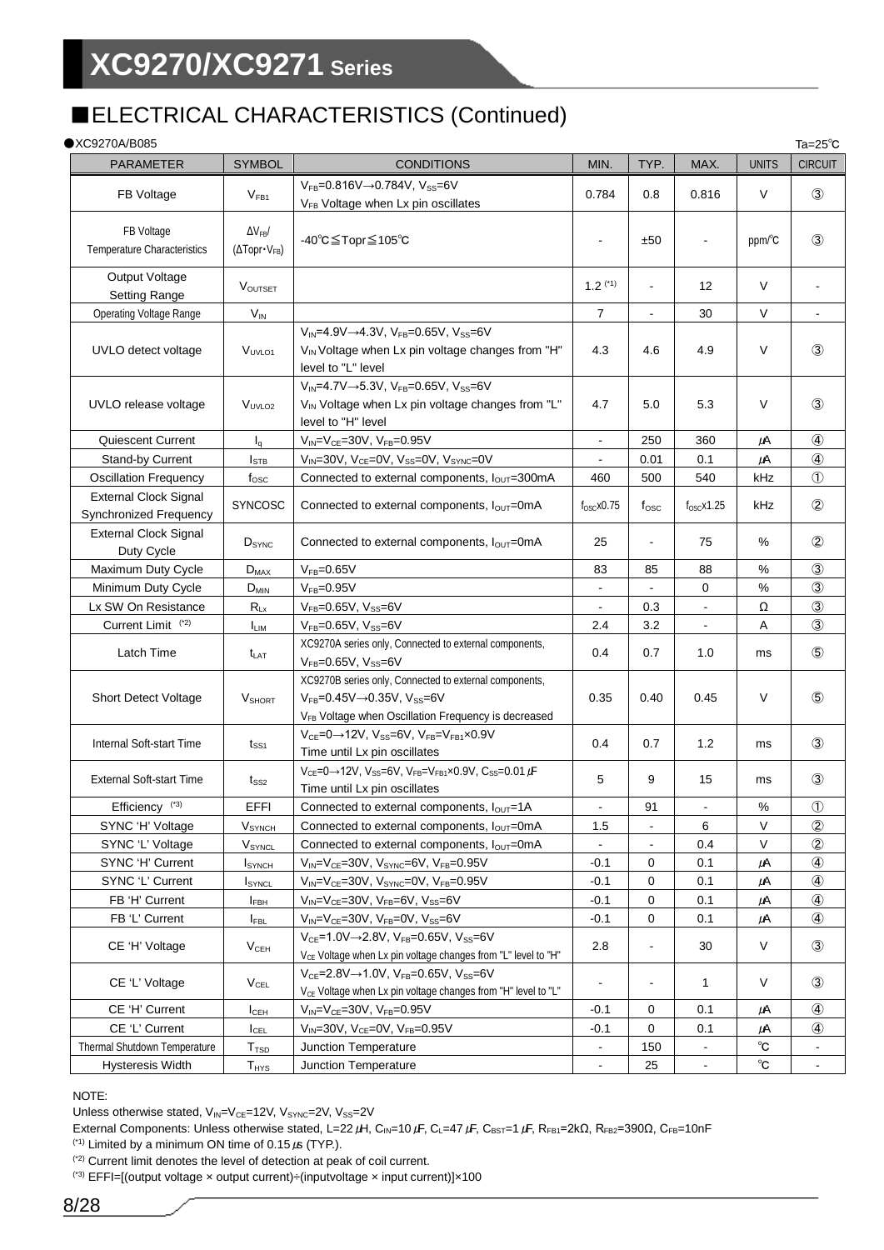## ■ELECTRICAL CHARACTERISTICS (Continued)

| $\bullet$ XC9270A/B085                                 |                                                                      |                                                                                                                                                                                       |                          |                |                          |              | Ta= $25^\circ$ C  |
|--------------------------------------------------------|----------------------------------------------------------------------|---------------------------------------------------------------------------------------------------------------------------------------------------------------------------------------|--------------------------|----------------|--------------------------|--------------|-------------------|
| <b>PARAMETER</b>                                       | <b>SYMBOL</b>                                                        | <b>CONDITIONS</b>                                                                                                                                                                     | MIN.                     | TYP.           | MAX.                     | <b>UNITS</b> | <b>CIRCUIT</b>    |
| FB Voltage                                             | V <sub>FB1</sub>                                                     | $V_{FB} = 0.816V \rightarrow 0.784V$ , $V_{SS} = 6V$<br>V <sub>FB</sub> Voltage when Lx pin oscillates                                                                                | 0.784                    | 0.8            | 0.816                    | $\vee$       | $\circled{3}$     |
| FB Voltage<br><b>Temperature Characteristics</b>       | $\Delta V_{FB}$<br>$(\Delta \text{Topr} \cdot \text{V}_{\text{FB}})$ | -40℃≦Topr≦105℃                                                                                                                                                                        | $\overline{\phantom{0}}$ | ±50            | $\overline{\phantom{0}}$ | ppm/°C       | $\circled{3}$     |
| Output Voltage<br><b>Setting Range</b>                 | VOUTSET                                                              |                                                                                                                                                                                       | $1.2$ (*1)               | $\blacksquare$ | 12                       | $\vee$       |                   |
| <b>Operating Voltage Range</b>                         | $V_{IN}$                                                             |                                                                                                                                                                                       | $\overline{7}$           | $\blacksquare$ | 30                       | $\vee$       | $\blacksquare$    |
| UVLO detect voltage                                    | V <sub>UVLO1</sub>                                                   | $V_{IN} = 4.9V \rightarrow 4.3V$ , $V_{FB} = 0.65V$ , $V_{SS} = 6V$<br>V <sub>IN</sub> Voltage when Lx pin voltage changes from "H"<br>level to "L" level                             | 4.3                      | 4.6            | 4.9                      | $\vee$       | $\circled{3}$     |
| UVLO release voltage                                   | V <sub>UVLO2</sub>                                                   | $V_{IN} = 4.7V \rightarrow 5.3V$ , $V_{FB} = 0.65V$ , $V_{SS} = 6V$<br>V <sub>IN</sub> Voltage when Lx pin voltage changes from "L"<br>level to "H" level                             | 4.7                      | 5.0            | 5.3                      | $\vee$       | $\circled{3}$     |
| Quiescent Current                                      | $I_q$                                                                | $V_{IN} = V_{CE} = 30V$ , $V_{FB} = 0.95V$                                                                                                                                            | $\overline{a}$           | 250            | 360                      | μA           | ④                 |
| Stand-by Current                                       | $I_{\text{STB}}$                                                     | $V_{IN}$ =30V, V <sub>CE</sub> =0V, V <sub>SS</sub> =0V, V <sub>SYNC</sub> =0V                                                                                                        |                          | 0.01           | 0.1                      | μA           | $\circled{4}$     |
| <b>Oscillation Frequency</b>                           | $f_{\rm osc}$                                                        | Connected to external components, lout=300mA                                                                                                                                          | 460                      | 500            | 540                      | kHz          | $\circled{1}$     |
| <b>External Clock Signal</b><br>Synchronized Frequency | <b>SYNCOSC</b>                                                       | Connected to external components, $I_{\text{OUT}}$ =0mA                                                                                                                               | $f_{\rm OSC}$ x0.75      | $f_{\rm osc}$  | $f_{OSC}$ x1.25          | kHz          | $^{\circledR}$    |
| <b>External Clock Signal</b><br>Duty Cycle             | $D_{\text{SYNC}}$                                                    | Connected to external components, $I_{\text{OUT}}$ =0mA                                                                                                                               | 25                       |                | 75                       | %            | $^{\circledR}$    |
| Maximum Duty Cycle                                     | $D_{MAX}$                                                            | $V_{FB} = 0.65V$                                                                                                                                                                      | 83                       | 85             | 88                       | %            | $\circled{3}$     |
| Minimum Duty Cycle                                     | $D_{MIN}$                                                            | $V_{FB} = 0.95V$                                                                                                                                                                      | $\frac{1}{2}$            | $\blacksquare$ | 0                        | $\%$         | $\circled{3}$     |
| Lx SW On Resistance                                    | $R_{Lx}$                                                             | $V_{FB} = 0.65V$ , $V_{SS} = 6V$                                                                                                                                                      | $\blacksquare$           | 0.3            | $\blacksquare$           | Ω            | $\circled{3}$     |
| Current Limit <sup>(*2)</sup>                          | <b>ILIM</b>                                                          | $V_{FB} = 0.65V, V_{SS} = 6V$                                                                                                                                                         | 2.4                      | 3.2            | $\blacksquare$           | Α            | $\circled{3}$     |
| Latch Time                                             | t <sub>LAT</sub>                                                     | XC9270A series only, Connected to external components,<br>$V_{FB} = 0.65V$ , $V_{SS} = 6V$                                                                                            | 0.4                      | 0.7            | 1.0                      | ms           | $\circledS$       |
| <b>Short Detect Voltage</b>                            | $V_{\text{SHORT}}$                                                   | XC9270B series only, Connected to external components,<br>$V_{FB}$ =0.45V $\rightarrow$ 0.35V, V <sub>SS</sub> =6V<br>V <sub>FB</sub> Voltage when Oscillation Frequency is decreased | 0.35                     | 0.40           | 0.45                     | V            | $\circledS$       |
| Internal Soft-start Time                               | $t_{SS1}$                                                            | $V_{CE}$ =0 $\rightarrow$ 12V, V <sub>SS</sub> =6V, V <sub>FB</sub> =V <sub>FB1</sub> ×0.9V<br>Time until Lx pin oscillates                                                           | 0.4                      | 0.7            | 1.2                      | ms           | $\circled{3}$     |
| <b>External Soft-start Time</b>                        | $t_{SS2}$                                                            | $V_{CE} = 0 \rightarrow 12V$ , $V_{SS} = 6V$ , $V_{FB} = V_{FB1} \times 0.9V$ , $C_{SS} = 0.01 \mu F$<br>Time until Lx pin oscillates                                                 | 5                        | 9              | 15                       | ms           | $\circled{3}$     |
| Efficiency <sup>(*3)</sup>                             | <b>EFFI</b>                                                          | Connected to external components, $I_{OUT}$ =1A                                                                                                                                       |                          | 91             |                          | $\%$         | $\textcircled{1}$ |
| SYNC 'H' Voltage                                       | <b>V</b> <sub>SYNCH</sub>                                            | Connected to external components, $I_{\text{OUT}}$ =0mA                                                                                                                               | 1.5                      |                | 6                        | $\vee$       | $\circled{2}$     |
| SYNC 'L' Voltage                                       | VSYNCL                                                               | Connected to external components, louT=0mA                                                                                                                                            |                          |                | 0.4                      | V            | $^{\circledR}$    |
| SYNC 'H' Current                                       | <b>I</b> SYNCH                                                       | $V_{IN} = V_{CE} = 30V$ , $V_{SYNC} = 6V$ , $V_{FB} = 0.95V$                                                                                                                          | -0.1                     | 0              | 0.1                      | μA           | $\circled{4}$     |
| SYNC 'L' Current                                       | <b>I</b> SYNCL                                                       | $V_{IN} = V_{CE} = 30V$ , $V_{SYNC} = 0V$ , $V_{FB} = 0.95V$                                                                                                                          | $-0.1$                   | 0              | 0.1                      | μA           |                   |
| FB 'H' Current                                         | <b>IFBH</b>                                                          | $V_{IN} = V_{CE} = 30V$ , $V_{FB} = 6V$ , $V_{SS} = 6V$                                                                                                                               | $-0.1$                   | 0              | 0.1                      | μA           | $^{\circledR}$    |
| FB 'L' Current                                         | $I_{FBL}$                                                            | $V_{IN} = V_{CE} = 30V$ , $V_{FB} = 0V$ , $V_{SS} = 6V$                                                                                                                               | $-0.1$                   | 0              | 0.1                      | μA           | $\circled{4}$     |
| CE 'H' Voltage                                         | V <sub>CEH</sub>                                                     | $V_{CE} = 1.0 V \rightarrow 2.8 V$ , $V_{FB} = 0.65 V$ , $V_{SS} = 6 V$<br>V <sub>CE</sub> Voltage when Lx pin voltage changes from "L" level to "H"                                  | 2.8                      | ۰              | 30                       | $\vee$       | $\circled{3}$     |
| CE 'L' Voltage                                         | $V_{\rm CEL}$                                                        | $V_{CE} = 2.8V \rightarrow 1.0V$ , $V_{FB} = 0.65V$ , $V_{SS} = 6V$<br>V <sub>CE</sub> Voltage when Lx pin voltage changes from "H" level to "L"                                      | ä,                       | $\blacksquare$ | 1                        | V            | $\circled{3}$     |
| CE 'H' Current                                         | $I_{\text{CEH}}$                                                     | $V_{IN} = V_{CE} = 30V$ , $V_{FB} = 0.95V$                                                                                                                                            | -0.1                     | 0              | 0.1                      | μA           | 4                 |
| CE 'L' Current                                         | ICEL                                                                 | $V_{IN} = 30V$ , $V_{CE} = 0V$ , $V_{FB} = 0.95V$                                                                                                                                     | -0.1                     | 0              | 0.1                      | $\mu$ A      | $\circled{4}$     |
| Thermal Shutdown Temperature                           | T <sub>TSD</sub>                                                     | Junction Temperature                                                                                                                                                                  |                          | 150            |                          | $^{\circ}$ C |                   |
| <b>Hysteresis Width</b>                                | $T_{HYS}$                                                            | Junction Temperature                                                                                                                                                                  |                          | 25             |                          | $^{\circ}$ C |                   |

NOTE:

Unless otherwise stated,  $V_{IN}=V_{CE}=12V$ ,  $V_{SYNC}=2V$ ,  $V_{SS}=2V$ 

External Components: Unless otherwise stated, L=22 μH, C<sub>IN</sub>=10 μF, C<sub>L</sub>=47 μF, C<sub>BST</sub>=1 μF, R<sub>FB1</sub>=2kΩ, R<sub>FB2</sub>=390Ω, C<sub>FB</sub>=10nF

<sup>(\*1)</sup> Limited by a minimum ON time of 0.15  $\mu$ s (TYP.).

(\*2) Current limit denotes the level of detection at peak of coil current.

(\*3) EFFI=[(output voltage × output current)÷(inputvoltage × input current)]×100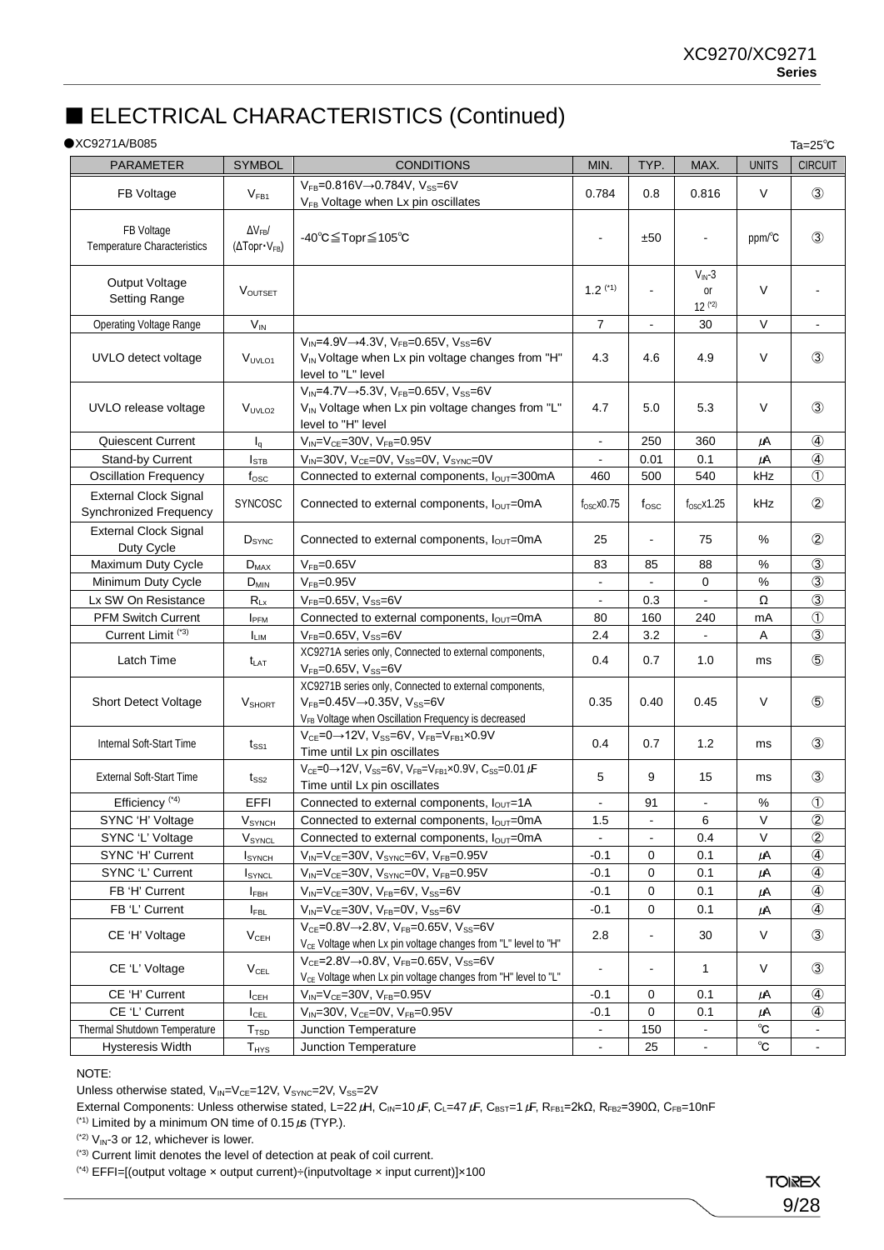## ■ ELECTRICAL CHARACTERISTICS (Continued)

### ●XC9271A/B085

| $\bullet$ XC9271A/B085                                 |                                                        |                                                                                                                                                                          |                          |                |                                       |              | Ta= $25^{\circ}$ C |
|--------------------------------------------------------|--------------------------------------------------------|--------------------------------------------------------------------------------------------------------------------------------------------------------------------------|--------------------------|----------------|---------------------------------------|--------------|--------------------|
| <b>PARAMETER</b>                                       | <b>SYMBOL</b>                                          | <b>CONDITIONS</b>                                                                                                                                                        | MIN.                     | TYP.           | MAX.                                  | <b>UNITS</b> | <b>CIRCUIT</b>     |
| FB Voltage                                             | V <sub>FB1</sub>                                       | $V_{FB} = 0.816V \rightarrow 0.784V$ , $V_{SS} = 6V$<br>V <sub>FB</sub> Voltage when Lx pin oscillates                                                                   | 0.784                    | 0.8            | 0.816                                 | V            | $\circled{3}$      |
| FB Voltage<br>Temperature Characteristics              | $\Delta V_{FB}$<br>$(\Delta \text{Topr} \cdot V_{FB})$ | -40°C≦Topr≦105°C                                                                                                                                                         | $\blacksquare$           | ±50            | $\overline{a}$                        | ppm/°C       | $\circled{3}$      |
| Output Voltage<br><b>Setting Range</b>                 | <b>VOUTSET</b>                                         |                                                                                                                                                                          | $1.2$ (*1)               | $\blacksquare$ | $V_{\text{IN}}-3$<br>or<br>$12$ $(2)$ | V            |                    |
| <b>Operating Voltage Range</b>                         | $V_{IN}$                                               |                                                                                                                                                                          | $\overline{7}$           | $\blacksquare$ | 30                                    | V            | $\blacksquare$     |
| UVLO detect voltage                                    | V <sub>UVLO1</sub>                                     | $V_{IN} = 4.9V \rightarrow 4.3V$ , $V_{FB} = 0.65V$ , $V_{SS} = 6V$<br>V <sub>IN</sub> Voltage when Lx pin voltage changes from "H"<br>level to "L" level                | 4.3                      | 4.6            | 4.9                                   | V            | $\circled{3}$      |
| UVLO release voltage                                   | V <sub>UVLO2</sub>                                     | $V_{IN} = 4.7V \rightarrow 5.3V, V_{FB} = 0.65V, V_{SS} = 6V$<br>V <sub>IN</sub> Voltage when Lx pin voltage changes from "L"<br>level to "H" level                      | 4.7                      | 5.0            | 5.3                                   | V            | $\circled{3}$      |
| Quiescent Current                                      | $I_q$                                                  | $V_{IN} = V_{CE} = 30V$ , $V_{FB} = 0.95V$                                                                                                                               | $\blacksquare$           | 250            | 360                                   | μA           | $\circled{4}$      |
| Stand-by Current                                       | Istb                                                   | $V_{IN}$ =30V, V <sub>CE</sub> =0V, V <sub>SS</sub> =0V, V <sub>SYNC</sub> =0V                                                                                           | $\blacksquare$           | 0.01           | 0.1                                   | $\mu$ A      | $\circled{4}$      |
| <b>Oscillation Frequency</b>                           | $f_{\rm osc}$                                          | Connected to external components, lout=300mA                                                                                                                             | 460                      | 500            | 540                                   | kHz          | $\circled{1}$      |
| <b>External Clock Signal</b><br>Synchronized Frequency | SYNCOSC                                                | Connected to external components, $I_{OUT}$ =0mA                                                                                                                         | $f_{\rm OSC}$ x0.75      | $t_{\rm{osc}}$ | $f_{\rm OSC}$ x1.25                   | kHz          | $^{\circledR}$     |
| <b>External Clock Signal</b><br>Duty Cycle             | D <sub>SYNC</sub>                                      | Connected to external components, $I_{\text{OUT}}$ =0mA                                                                                                                  | 25                       | $\blacksquare$ | 75                                    | %            | $\circled{2}$      |
| Maximum Duty Cycle                                     | $D_{MAX}$                                              | $V_{FB} = 0.65V$                                                                                                                                                         | 83                       | 85             | 88                                    | %            | $\circled{3}$      |
| Minimum Duty Cycle                                     | $D_{MIN}$                                              | $V_{FB} = 0.95V$                                                                                                                                                         | $\blacksquare$           |                | 0                                     | $\%$         | $\circled{3}$      |
| Lx SW On Resistance                                    | $R_{Lx}$                                               | $V_{FB} = 0.65V$ , $V_{SS} = 6V$                                                                                                                                         | $\overline{\phantom{a}}$ | 0.3            |                                       | Ω            | $\circled{3}$      |
| <b>PFM Switch Current</b>                              | I <sub>PFM</sub>                                       | Connected to external components, louT=0mA                                                                                                                               | 80                       | 160            | 240                                   | mA           | $\circled{1}$      |
| Current Limit <sup>(*3)</sup>                          | <b>ILIM</b>                                            | $V_{FB}$ =0.65V, $V_{SS}$ =6V                                                                                                                                            | 2.4                      | 3.2            |                                       | Α            | $\circled{3}$      |
| Latch Time                                             | t <sub>lat</sub>                                       | XC9271A series only, Connected to external components,<br>$V_{FB} = 0.65V, V_{SS} = 6V$                                                                                  | 0.4                      | 0.7            | 1.0                                   | ms           | $\circledS$        |
| <b>Short Detect Voltage</b>                            | V <sub>SHORT</sub>                                     | XC9271B series only, Connected to external components,<br>$V_{FB}$ =0.45V $\rightarrow$ 0.35V, Vss=6V<br>V <sub>FB</sub> Voltage when Oscillation Frequency is decreased | 0.35                     | 0.40           | 0.45                                  | V            | $\circledS$        |
| Internal Soft-Start Time                               | $t_{SS1}$                                              | $V_{CE}$ =0 $\rightarrow$ 12V, V <sub>SS</sub> =6V, V <sub>FB</sub> =V <sub>FB1</sub> ×0.9V<br>Time until Lx pin oscillates                                              | 0.4                      | 0.7            | 1.2                                   | ms           | $\circled{3}$      |
| <b>External Soft-Start Time</b>                        | t <sub>SS2</sub>                                       | $V_{CE} = 0 \rightarrow 12V$ , $V_{SS} = 6V$ , $V_{FB} = V_{FB1} \times 0.9V$ , $C_{SS} = 0.01 \mu F$<br>Time until Lx pin oscillates                                    | 5                        | 9              | 15                                    | ms           | $\circled{3}$      |
| Efficiency <sup>(*4)</sup>                             | EFFI                                                   | Connected to external components, lour=1A                                                                                                                                | $\sim$                   | 91             | $\blacksquare$                        | $\%$         | $\circled{1}$      |
| SYNC 'H' Voltage                                       | $V_{SNCH}$                                             | Connected to external components, $I_{OUT}$ =0mA                                                                                                                         | 1.5                      |                | 6                                     | $\vee$       | $\circled{2}$      |
| SYNC 'L' Voltage                                       | V <sub>SYNCL</sub>                                     | Connected to external components, louT=0mA                                                                                                                               |                          |                | 0.4                                   | V            | $\circled{2}$      |
| SYNC 'H' Current                                       | <b>I</b> SYNCH                                         | $V_{IN} = V_{CE} = 30V$ , $V_{SYNC} = 6V$ , $V_{FB} = 0.95V$                                                                                                             | $-0.1$                   | 0              | 0.1                                   | μA           | $\circled{4}$      |
| SYNC 'L' Current                                       | <b>I</b> SYNCL                                         | $V_{IN} = V_{CE} = 30V$ , $V_{SYNC} = 0V$ , $V_{FB} = 0.95V$                                                                                                             | $-0.1$                   | 0              | 0.1                                   | $\mu$ A      | ④                  |
| FB 'H' Current                                         | <b>IFBH</b>                                            | $V_{IN} = V_{CE} = 30V$ , $V_{FB} = 6V$ , $V_{SS} = 6V$                                                                                                                  | $-0.1$                   | 0              | 0.1                                   | $\mu$ A      | $\circled{4}$      |
| FB 'L' Current                                         | <b>I</b> FBL                                           | $V_{IN} = V_{CE} = 30V$ , $V_{FB} = 0V$ , $V_{SS} = 6V$                                                                                                                  | -0.1                     | 0              | 0.1                                   | μA           | $\circled{4}$      |
| CE 'H' Voltage                                         | V <sub>CEH</sub>                                       | $V_{CE} = 0.8V \rightarrow 2.8V$ , $V_{FB} = 0.65V$ , $V_{SS} = 6V$<br>V <sub>CE</sub> Voltage when Lx pin voltage changes from "L" level to "H"                         | 2.8                      | $\blacksquare$ | 30                                    | $\vee$       | $\circled{3}$      |
| CE 'L' Voltage                                         | $V_{\texttt{CEL}}$                                     | $V_{CE} = 2.8V \rightarrow 0.8V$ , $V_{FB} = 0.65V$ , $V_{SS} = 6V$<br>V <sub>CE</sub> Voltage when Lx pin voltage changes from "H" level to "L"                         | $\ddot{\phantom{a}}$     | ÷,             | 1                                     | V            | $\circled{3}$      |
| CE 'H' Current                                         | Ісен                                                   | $V_{IN} = V_{CE} = 30V$ , $V_{FB} = 0.95V$                                                                                                                               | $-0.1$                   | 0              | 0.1                                   | $\mu$ A      | $\circled{4}$      |
| CE 'L' Current                                         | $I_{\text{CEL}}$                                       | $V_{IN} = 30V$ , $V_{CE} = 0V$ , $V_{FB} = 0.95V$                                                                                                                        | $-0.1$                   | 0              | 0.1                                   | μA           |                    |
| Thermal Shutdown Temperature                           | T <sub>TSD</sub>                                       | Junction Temperature                                                                                                                                                     | $\blacksquare$           | 150            | $\blacksquare$                        | $^{\circ}$ C | $\blacksquare$     |
| <b>Hysteresis Width</b>                                | $T_{HYS}$                                              | Junction Temperature                                                                                                                                                     | $\blacksquare$           | 25             | $\blacksquare$                        | $^{\circ}$ C | $\blacksquare$     |

### NOTE:

Unless otherwise stated,  $V_{IN}=V_{CE}=12V$ ,  $V_{SYNC}=2V$ ,  $V_{SS}=2V$ 

External Components: Unless otherwise stated, L=22 μH, C<sub>IN</sub>=10 μF, C<sub>L</sub>=47 μF, C<sub>BST</sub>=1 μF, R<sub>FB1</sub>=2kΩ, R<sub>FB2</sub>=390Ω, C<sub>FB</sub>=10nF

(\*1) Limited by a minimum ON time of 0.15  $\mu$  (TYP.).

 $(2)$  V<sub>IN</sub>-3 or 12, whichever is lower.

(\*4) EFFI=[(output voltage × output current)÷(inputvoltage × input current)]×100

<sup>(\*3)</sup> Current limit denotes the level of detection at peak of coil current.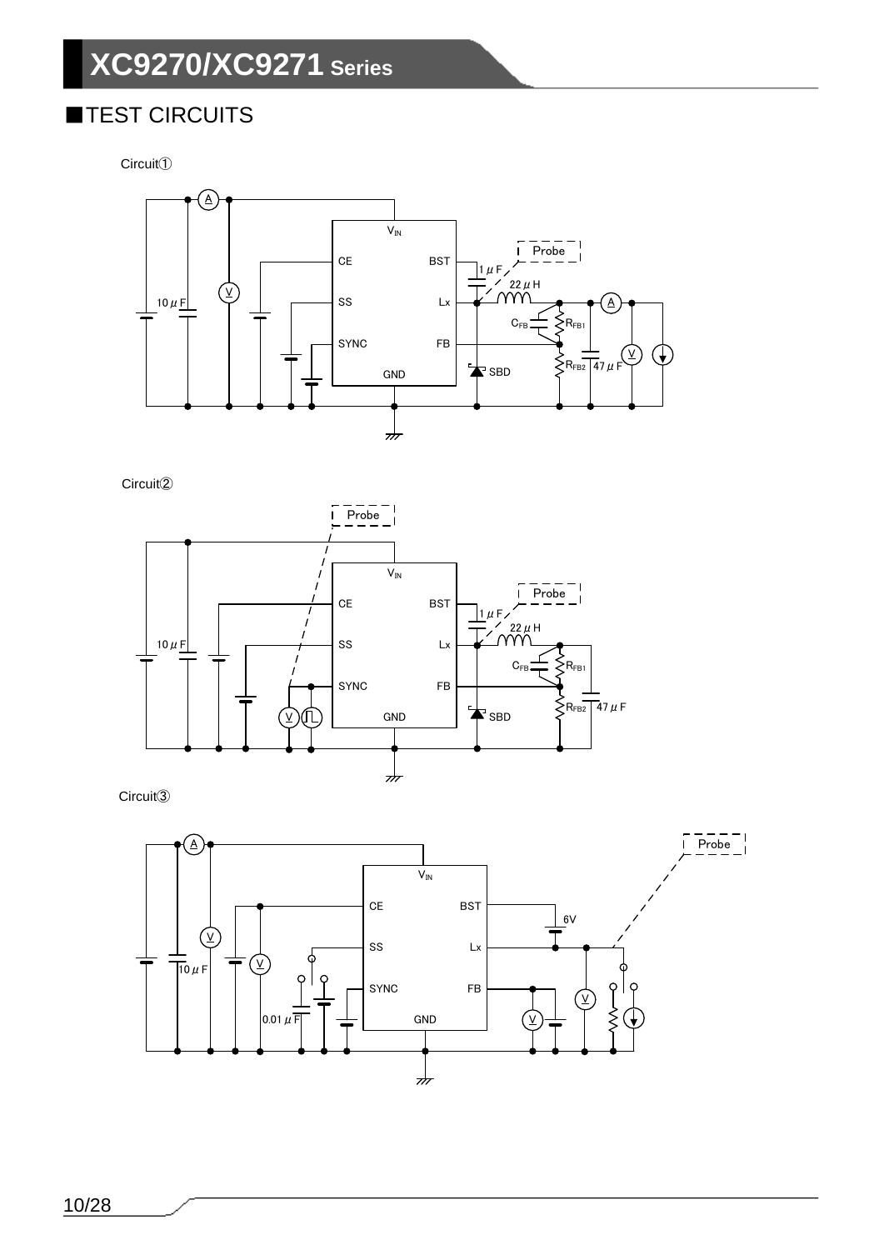## ■TEST CIRCUITS

Circuit①



Circuit②



Circuit③

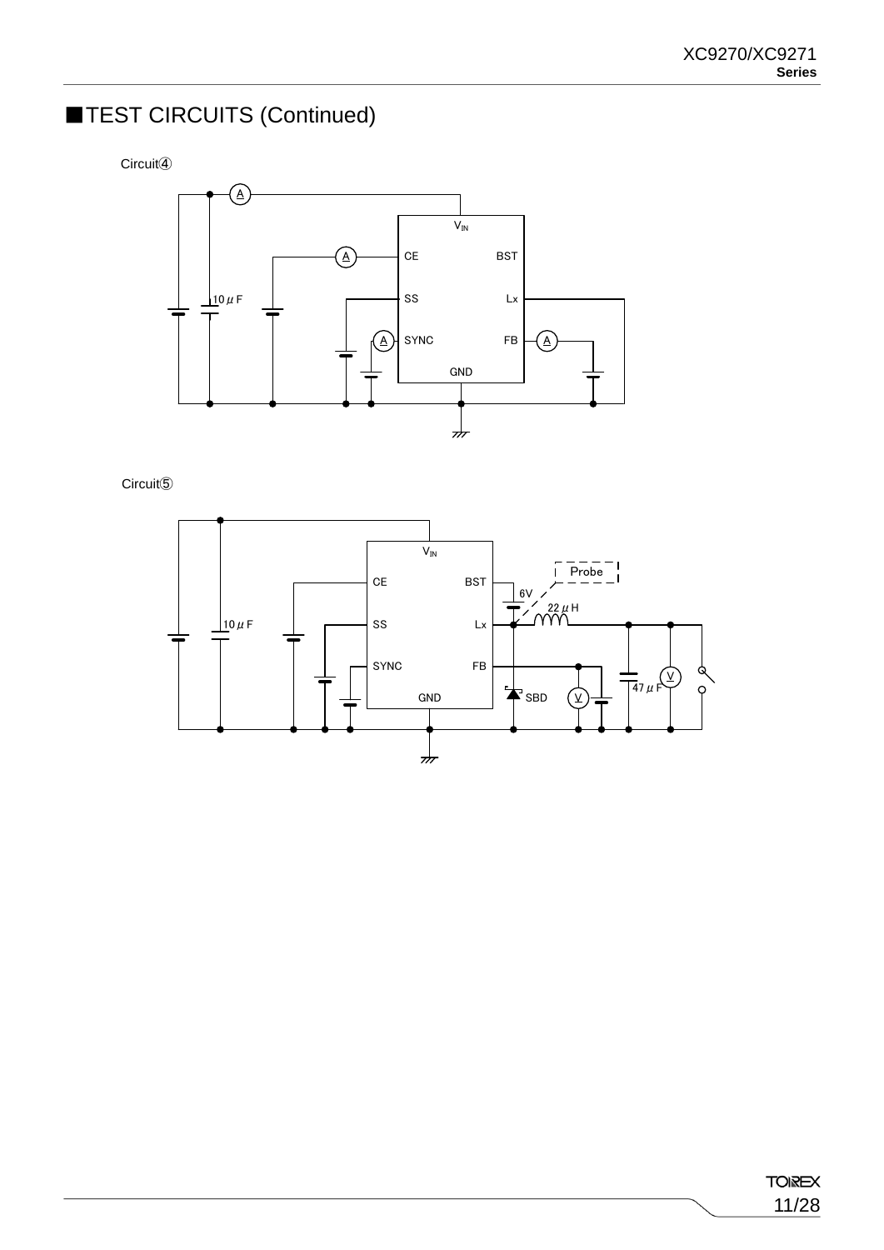## ■TEST CIRCUITS (Continued)

Circuit④



Circuit⑤

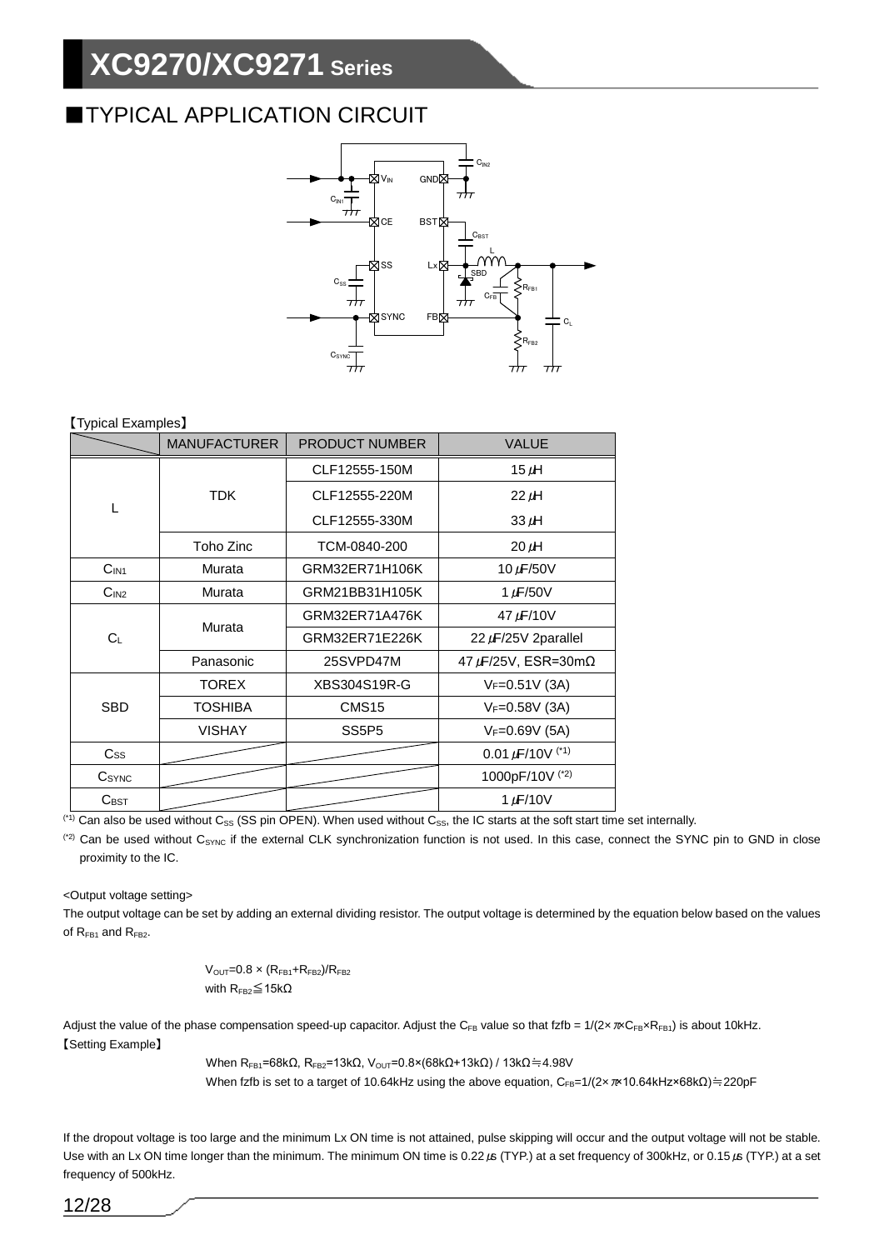## ■TYPICAL APPLICATION CIRCUIT



### 【Typical Examples】

|                         | <b>MANUFACTURER</b><br><b>PRODUCT NUMBER</b> |                   | <b>VALUE</b>             |
|-------------------------|----------------------------------------------|-------------------|--------------------------|
|                         |                                              | CLF12555-150M     | 15 $\mu$ H               |
|                         | <b>TDK</b>                                   | CLF12555-220M     | $22 \mu H$               |
| L                       |                                              | CLF12555-330M     | $33 \mu H$               |
|                         | Toho Zinc                                    | TCM-0840-200      | $20 \mu H$               |
| C <sub>IN1</sub>        | Murata                                       | GRM32ER71H106K    | 10 $\mu$ F/50V           |
| C <sub>IN2</sub>        | Murata                                       | GRM21BB31H105K    | 1 $\mu$ F/50V            |
|                         | Murata                                       | GRM32ER71A476K    | 47 µF/10V                |
| $C_L$                   |                                              | GRM32ER71E226K    | $22 \mu$ F/25V 2parallel |
|                         | Panasonic                                    | 25SVPD47M         | 47 μF/25V, ESR=30mΩ      |
|                         | <b>TOREX</b>                                 | XBS304S19R-G      | $V_F = 0.51V(3A)$        |
| <b>SBD</b>              | TOSHIBA                                      | CMS <sub>15</sub> | $V_F = 0.58V(3A)$        |
|                         | <b>VISHAY</b>                                | SS5P5             | $V_F = 0.69V(5A)$        |
| $\mathsf{C}\mathsf{ss}$ |                                              |                   | 0.01 $\mu$ F/10V $(1)$   |
| CSYNC                   |                                              |                   | 1000pF/10V (*2)          |
| $C_{\text{BST}}$        |                                              |                   | 1 $\mu$ F/10V            |

<sup>(\*1)</sup> Can also be used without C<sub>SS</sub> (SS pin OPEN). When used without C<sub>SS</sub>, the IC starts at the soft start time set internally.

<sup>(2)</sup> Can be used without C<sub>SYNC</sub> if the external CLK synchronization function is not used. In this case, connect the SYNC pin to GND in close proximity to the IC.

<Output voltage setting>

The output voltage can be set by adding an external dividing resistor. The output voltage is determined by the equation below based on the values of  $R_{FB1}$  and  $R_{FB2}$ .

$$
V_{\text{OUT}}{=}0.8\times(R_{\text{FB1}}{+}R_{\text{FB2}})/R_{\text{FB2}}
$$
 with  $R_{\text{FB2}}{\leq}15k\Omega$ 

Adjust the value of the phase compensation speed-up capacitor. Adjust the C<sub>FB</sub> value so that fzfb =  $1/(2 \times \pi \sqrt{C_{FB} \times R_{FB1}})$  is about 10kHz. 【Setting Example】

When  $R_{FB1}$ =68kΩ,  $R_{FB2}$ =13kΩ,  $V_{OUT}$ =0.8×(68kΩ+13kΩ) / 13kΩ≒4.98V

When fzfb is set to a target of 10.64kHz using the above equation, C<sub>FB</sub>=1/(2x π×10.64kHz×68kΩ)≒220pF

If the dropout voltage is too large and the minimum Lx ON time is not attained, pulse skipping will occur and the output voltage will not be stable. Use with an Lx ON time longer than the minimum. The minimum ON time is 0.22μs (TYP.) at a set frequency of 300kHz, or 0.15μs (TYP.) at a set frequency of 500kHz.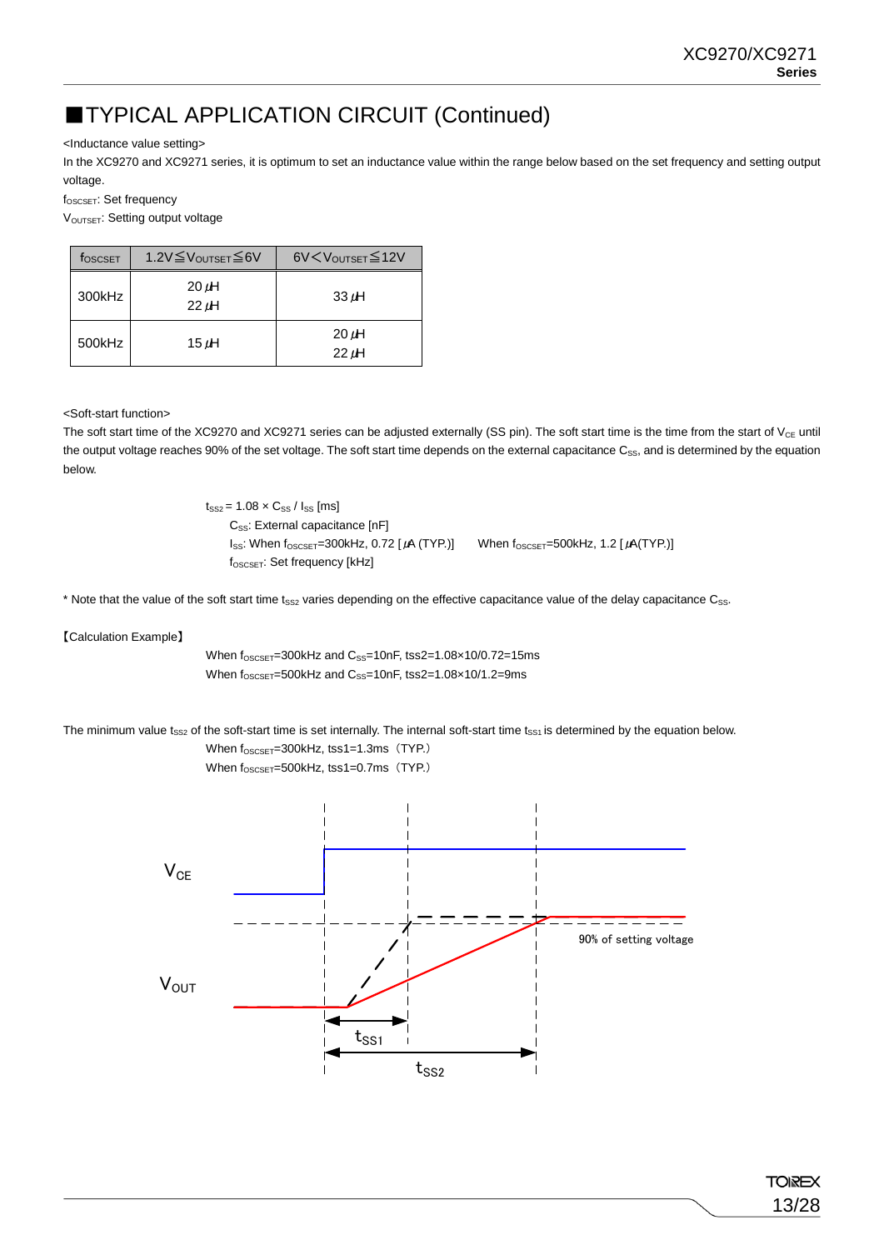## ■TYPICAL APPLICATION CIRCUIT (Continued)

<Inductance value setting>

In the XC9270 and XC9271 series, it is optimum to set an inductance value within the range below based on the set frequency and setting output voltage.

fOSCSET: Set frequency

V<sub>OUTSET</sub>: Setting output voltage

| foscset | 1.2V≦VoUTSET≦6V          | 6V < V <sub>OUTSET</sub> ≤ 12V |
|---------|--------------------------|--------------------------------|
| 300kHz  | $20 \mu H$<br>$22 \mu H$ | $33 \mu H$                     |
| 500kHz  | 15 µH                    | $20 \mu H$<br>$22 \mu H$       |

<Soft-start function>

The soft start time of the XC9270 and XC9271 series can be adjusted externally (SS pin). The soft start time is the time from the start of  $V_{CE}$  until the output voltage reaches 90% of the set voltage. The soft start time depends on the external capacitance  $C_{SS}$ , and is determined by the equation below.

> $t_{SS2} = 1.08 \times C_{SS} / I_{SS}$  [ms] C<sub>ss</sub>: External capacitance [nF]  $I_{SS}$ : When  $f_{OSCSET}$ =300kHz, 0.72 [ $\mu$ A (TYP.)] When  $f_{OSCSET}$ =500kHz, 1.2 [ $\mu$ A(TYP.)] f<sub>OSCSET</sub>: Set frequency [kHz]

\* Note that the value of the soft start time t<sub>SS2</sub> varies depending on the effective capacitance value of the delay capacitance C<sub>SS</sub>.

【Calculation Example】

When  $f_{OSCSET}=300$ kHz and  $C_{SS}=10$ nF, tss2=1.08×10/0.72=15ms When  $f_{OSCSET}$ =500kHz and  $C_{SS}$ =10nF, tss2=1.08×10/1.2=9ms

The minimum value  $t_{SS2}$  of the soft-start time is set internally. The internal soft-start time  $t_{SS1}$  is determined by the equation below.

When  $f_{OSCSET}$ =300kHz, tss1=1.3ms (TYP.) When f<sub>OSCSET</sub>=500kHz, tss1=0.7ms (TYP.)

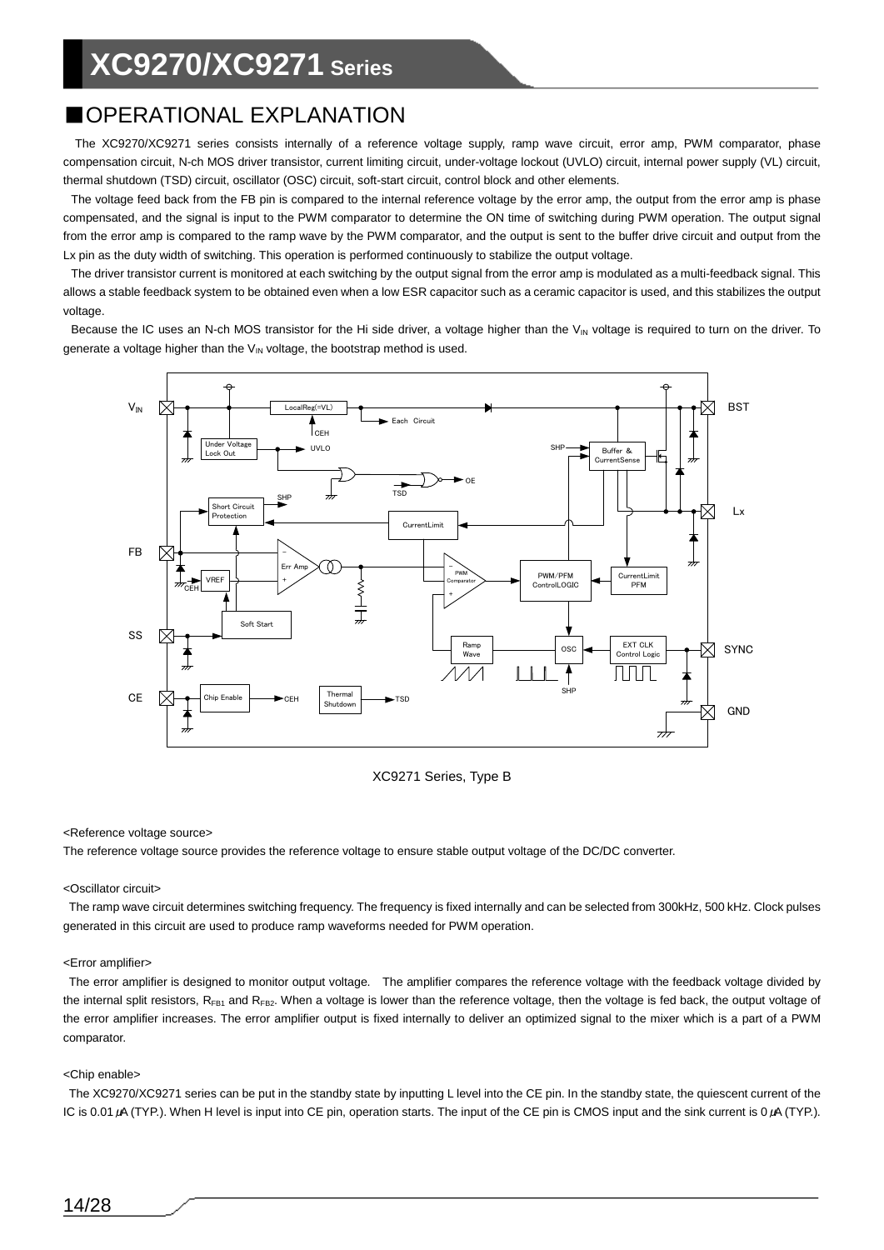## ■OPERATIONAL EXPLANATION

The XC9270/XC9271 series consists internally of a reference voltage supply, ramp wave circuit, error amp, PWM comparator, phase compensation circuit, N-ch MOS driver transistor, current limiting circuit, under-voltage lockout (UVLO) circuit, internal power supply (VL) circuit, thermal shutdown (TSD) circuit, oscillator (OSC) circuit, soft-start circuit, control block and other elements.

The voltage feed back from the FB pin is compared to the internal reference voltage by the error amp, the output from the error amp is phase compensated, and the signal is input to the PWM comparator to determine the ON time of switching during PWM operation. The output signal from the error amp is compared to the ramp wave by the PWM comparator, and the output is sent to the buffer drive circuit and output from the Lx pin as the duty width of switching. This operation is performed continuously to stabilize the output voltage.

The driver transistor current is monitored at each switching by the output signal from the error amp is modulated as a multi-feedback signal. This allows a stable feedback system to be obtained even when a low ESR capacitor such as a ceramic capacitor is used, and this stabilizes the output voltage.

Because the IC uses an N-ch MOS transistor for the Hi side driver, a voltage higher than the V<sub>IN</sub> voltage is required to turn on the driver. To generate a voltage higher than the  $V_{IN}$  voltage, the bootstrap method is used.



XC9271 Series, Type B

### <Reference voltage source>

The reference voltage source provides the reference voltage to ensure stable output voltage of the DC/DC converter.

### <Oscillator circuit>

The ramp wave circuit determines switching frequency. The frequency is fixed internally and can be selected from 300kHz, 500 kHz. Clock pulses generated in this circuit are used to produce ramp waveforms needed for PWM operation.

### <Error amplifier>

The error amplifier is designed to monitor output voltage. The amplifier compares the reference voltage with the feedback voltage divided by the internal split resistors,  $R_{FB1}$  and  $R_{FB2}$ . When a voltage is lower than the reference voltage, then the voltage is fed back, the output voltage of the error amplifier increases. The error amplifier output is fixed internally to deliver an optimized signal to the mixer which is a part of a PWM comparator.

### <Chip enable>

The XC9270/XC9271 series can be put in the standby state by inputting L level into the CE pin. In the standby state, the quiescent current of the IC is 0.01 μA (TYP.). When H level is input into CE pin, operation starts. The input of the CE pin is CMOS input and the sink current is 0 μA (TYP.).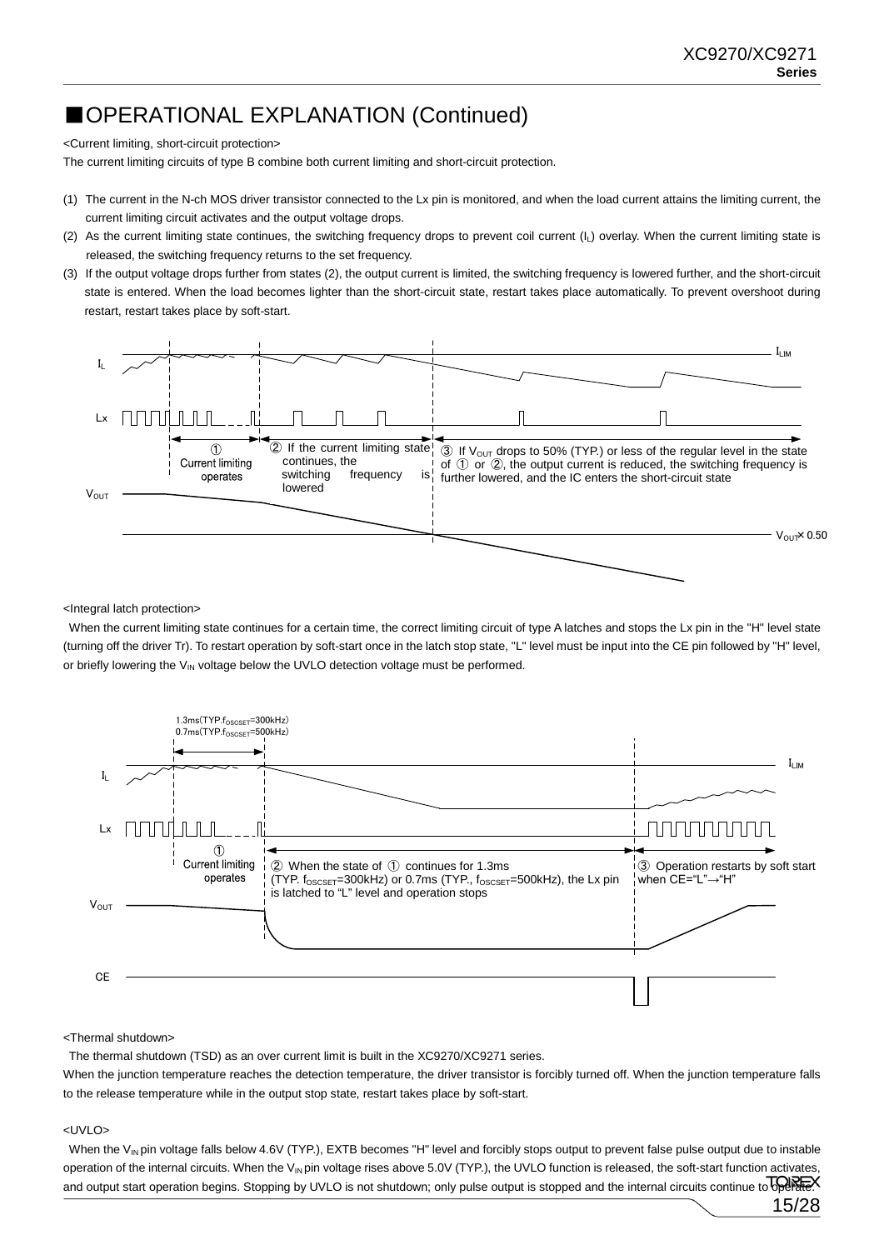15/28

## ■OPERATIONAL EXPLANATION (Continued)

<Current limiting, short-circuit protection>

The current limiting circuits of type B combine both current limiting and short-circuit protection.

- (1) The current in the N-ch MOS driver transistor connected to the Lx pin is monitored, and when the load current attains the limiting current, the current limiting circuit activates and the output voltage drops.
- (2) As the current limiting state continues, the switching frequency drops to prevent coil current (IL) overlay. When the current limiting state is released, the switching frequency returns to the set frequency.
- (3) If the output voltage drops further from states (2), the output current is limited, the switching frequency is lowered further, and the short-circuit state is entered. When the load becomes lighter than the short-circuit state, restart takes place automatically. To prevent overshoot during restart, restart takes place by soft-start.



<Integral latch protection>

When the current limiting state continues for a certain time, the correct limiting circuit of type A latches and stops the Lx pin in the "H" level state (turning off the driver Tr). To restart operation by soft-start once in the latch stop state, "L" level must be input into the CE pin followed by "H" level, or briefly lowering the  $V_{IN}$  voltage below the UVLO detection voltage must be performed.



### <Thermal shutdown>

The thermal shutdown (TSD) as an over current limit is built in the XC9270/XC9271 series.

When the junction temperature reaches the detection temperature, the driver transistor is forcibly turned off. When the junction temperature falls to the release temperature while in the output stop state, restart takes place by soft-start.

### <UVLO>

When the V<sub>IN</sub> pin voltage falls below 4.6V (TYP.), EXTB becomes "H" level and forcibly stops output to prevent false pulse output due to instable operation of the internal circuits. When the V<sub>IN</sub> pin voltage rises above 5.0V (TYP.), the UVLO function is released, the soft-start function activates and output start operation begins. Stopping by UVLO is not shutdown; only pulse output is stopped and the internal circuits continue to operateX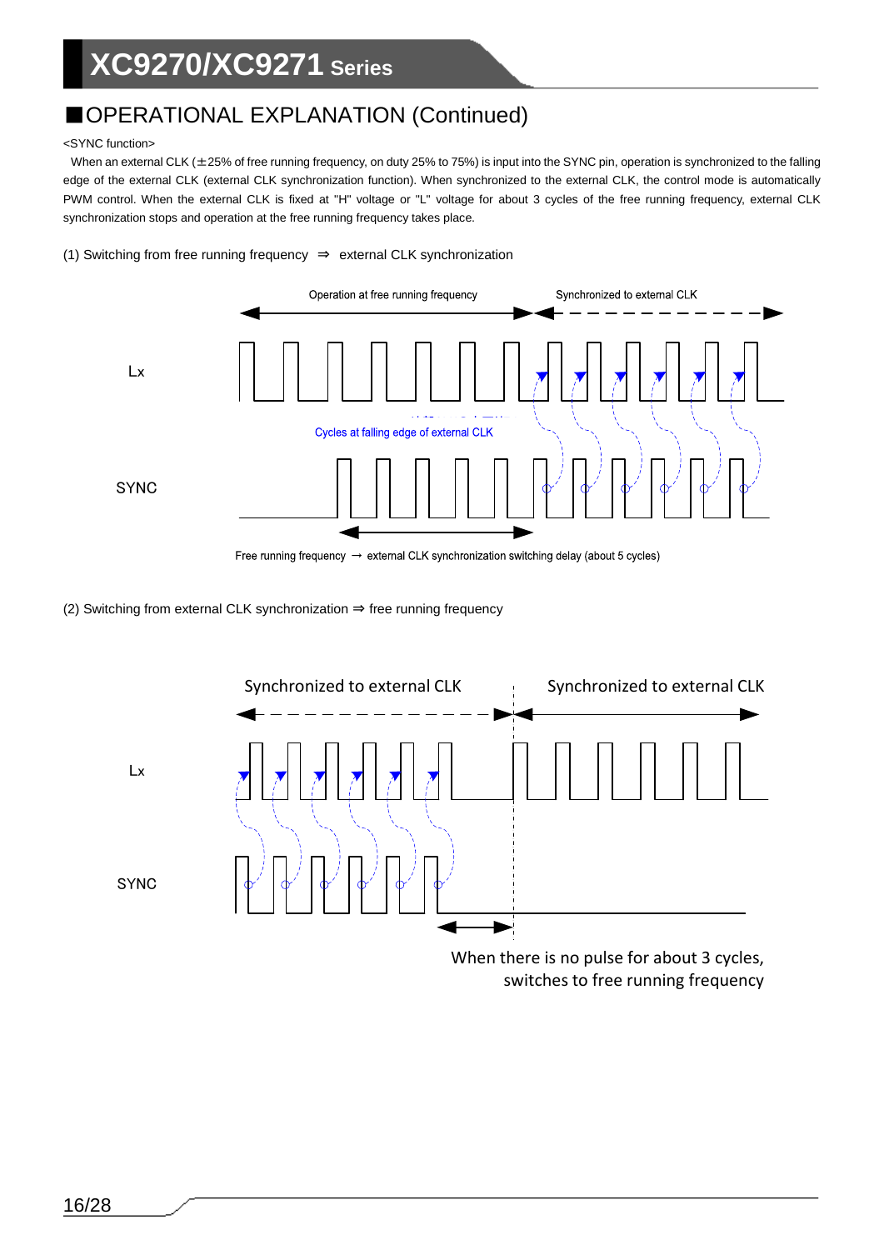## ■OPERATIONAL EXPLANATION (Continued)

### <SYNC function>

When an external CLK ( $\pm$ 25% of free running frequency, on duty 25% to 75%) is input into the SYNC pin, operation is synchronized to the falling edge of the external CLK (external CLK synchronization function). When synchronized to the external CLK, the control mode is automatically PWM control. When the external CLK is fixed at "H" voltage or "L" voltage for about 3 cycles of the free running frequency, external CLK synchronization stops and operation at the free running frequency takes place.

(1) Switching from free running frequency ⇒ external CLK synchronization



Free running frequency  $\rightarrow$  external CLK synchronization switching delay (about 5 cycles)

(2) Switching from external CLK synchronization ⇒ free running frequency



When there is no pulse for about 3 cycles, switches to free running frequency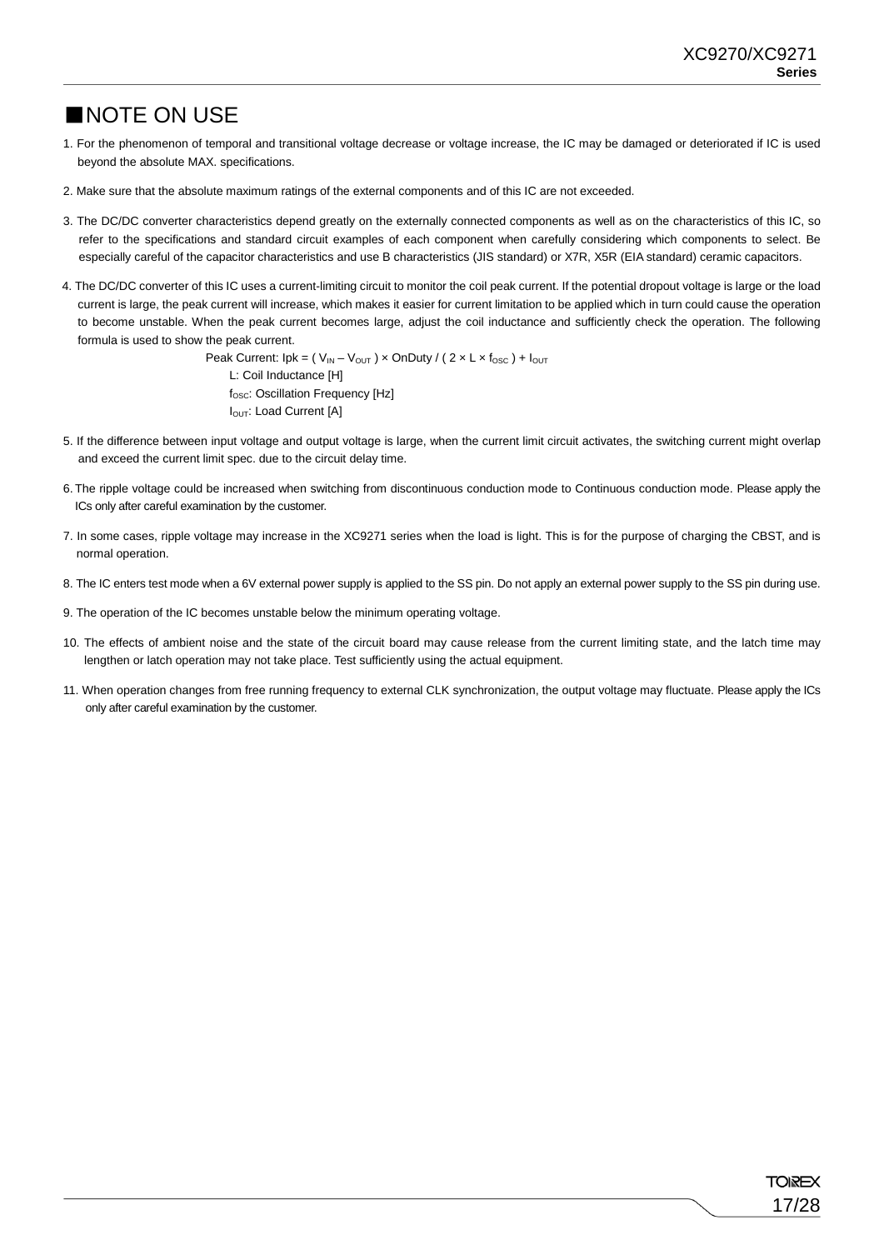### ■NOTE ON USE

- 1. For the phenomenon of temporal and transitional voltage decrease or voltage increase, the IC may be damaged or deteriorated if IC is used beyond the absolute MAX. specifications.
- 2. Make sure that the absolute maximum ratings of the external components and of this IC are not exceeded.
- 3. The DC/DC converter characteristics depend greatly on the externally connected components as well as on the characteristics of this IC, so refer to the specifications and standard circuit examples of each component when carefully considering which components to select. Be especially careful of the capacitor characteristics and use B characteristics (JIS standard) or X7R, X5R (EIA standard) ceramic capacitors.
- 4. The DC/DC converter of this IC uses a current-limiting circuit to monitor the coil peak current. If the potential dropout voltage is large or the load current is large, the peak current will increase, which makes it easier for current limitation to be applied which in turn could cause the operation to become unstable. When the peak current becomes large, adjust the coil inductance and sufficiently check the operation. The following formula is used to show the peak current.

Peak Current:  $lpk = (V_{IN} - V_{OUT}) \times OnDuty / (2 \times L \times f_{OSC}) + I_{OUT}$ L: Coil Inductance [H] f<sub>osc</sub>: Oscillation Frequency [Hz] I<sub>OUT</sub>: Load Current [A]

- 5. If the difference between input voltage and output voltage is large, when the current limit circuit activates, the switching current might overlap and exceed the current limit spec. due to the circuit delay time.
- 6. The ripple voltage could be increased when switching from discontinuous conduction mode to Continuous conduction mode. Please apply the ICs only after careful examination by the customer.
- 7. In some cases, ripple voltage may increase in the XC9271 series when the load is light. This is for the purpose of charging the CBST, and is normal operation.
- 8. The IC enters test mode when a 6V external power supply is applied to the SS pin. Do not apply an external power supply to the SS pin during use.
- 9. The operation of the IC becomes unstable below the minimum operating voltage.
- 10. The effects of ambient noise and the state of the circuit board may cause release from the current limiting state, and the latch time may lengthen or latch operation may not take place. Test sufficiently using the actual equipment.
- 11. When operation changes from free running frequency to external CLK synchronization, the output voltage may fluctuate. Please apply the ICs only after careful examination by the customer.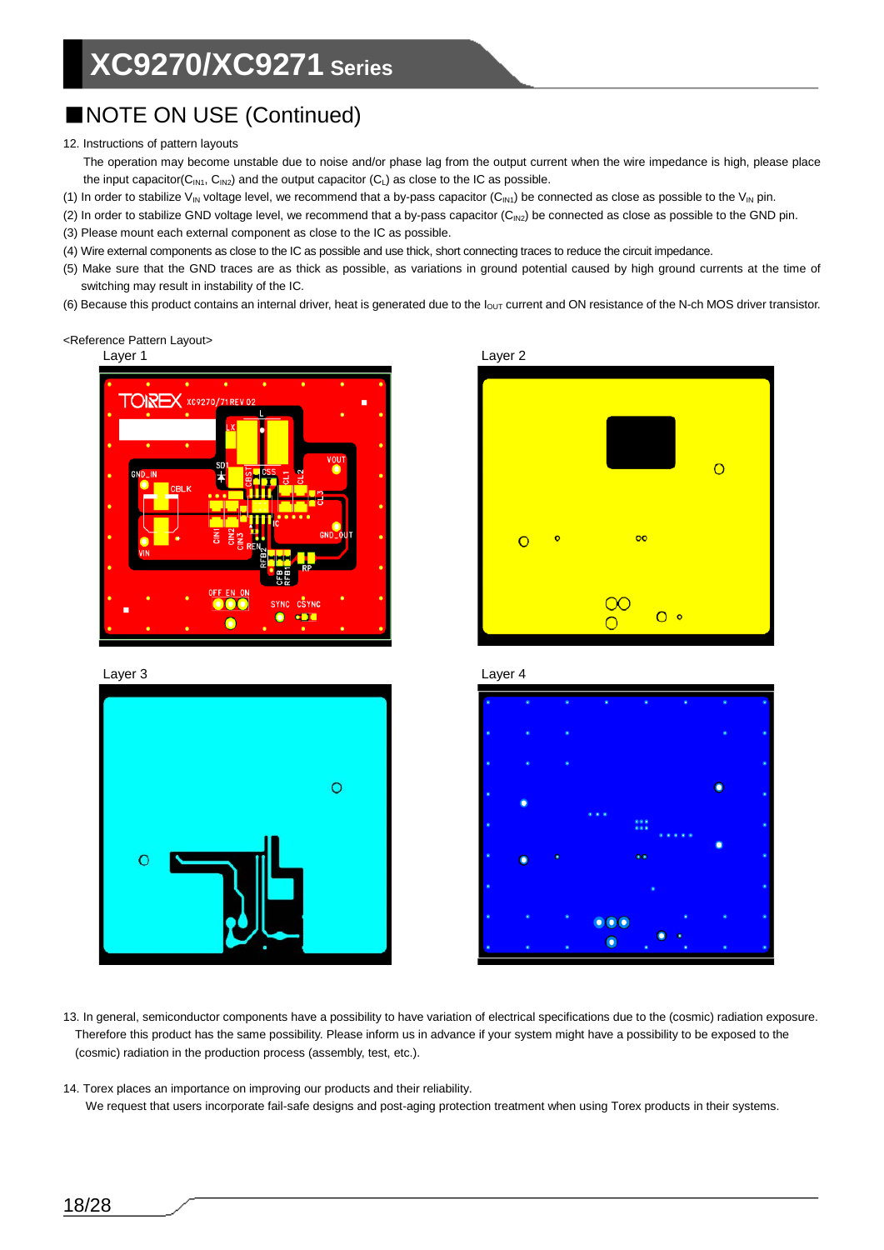## ■NOTE ON USE (Continued)

### 12. Instructions of pattern layouts

The operation may become unstable due to noise and/or phase lag from the output current when the wire impedance is high, please place the input capacitor( $C_{IN1}$ ,  $C_{IN2}$ ) and the output capacitor ( $C_L$ ) as close to the IC as possible.

- (1) In order to stabilize V<sub>IN</sub> voltage level, we recommend that a by-pass capacitor (C<sub>IN1</sub>) be connected as close as possible to the V<sub>IN</sub> pin.
- (2) In order to stabilize GND voltage level, we recommend that a by-pass capacitor (C<sub>IN2</sub>) be connected as close as possible to the GND pin.
- (3) Please mount each external component as close to the IC as possible.
- (4) Wire external components as close to the IC as possible and use thick, short connecting traces to reduce the circuit impedance.
- (5) Make sure that the GND traces are as thick as possible, as variations in ground potential caused by high ground currents at the time of switching may result in instability of the IC.
- (6) Because this product contains an internal driver, heat is generated due to the  $I_{OUT}$  current and ON resistance of the N-ch MOS driver transistor.

### <Reference Pattern Layout>



Layer 3 Layer 4







- 13. In general, semiconductor components have a possibility to have variation of electrical specifications due to the (cosmic) radiation exposure. Therefore this product has the same possibility. Please inform us in advance if your system might have a possibility to be exposed to the (cosmic) radiation in the production process (assembly, test, etc.).
- 14. Torex places an importance on improving our products and their reliability. We request that users incorporate fail-safe designs and post-aging protection treatment when using Torex products in their systems.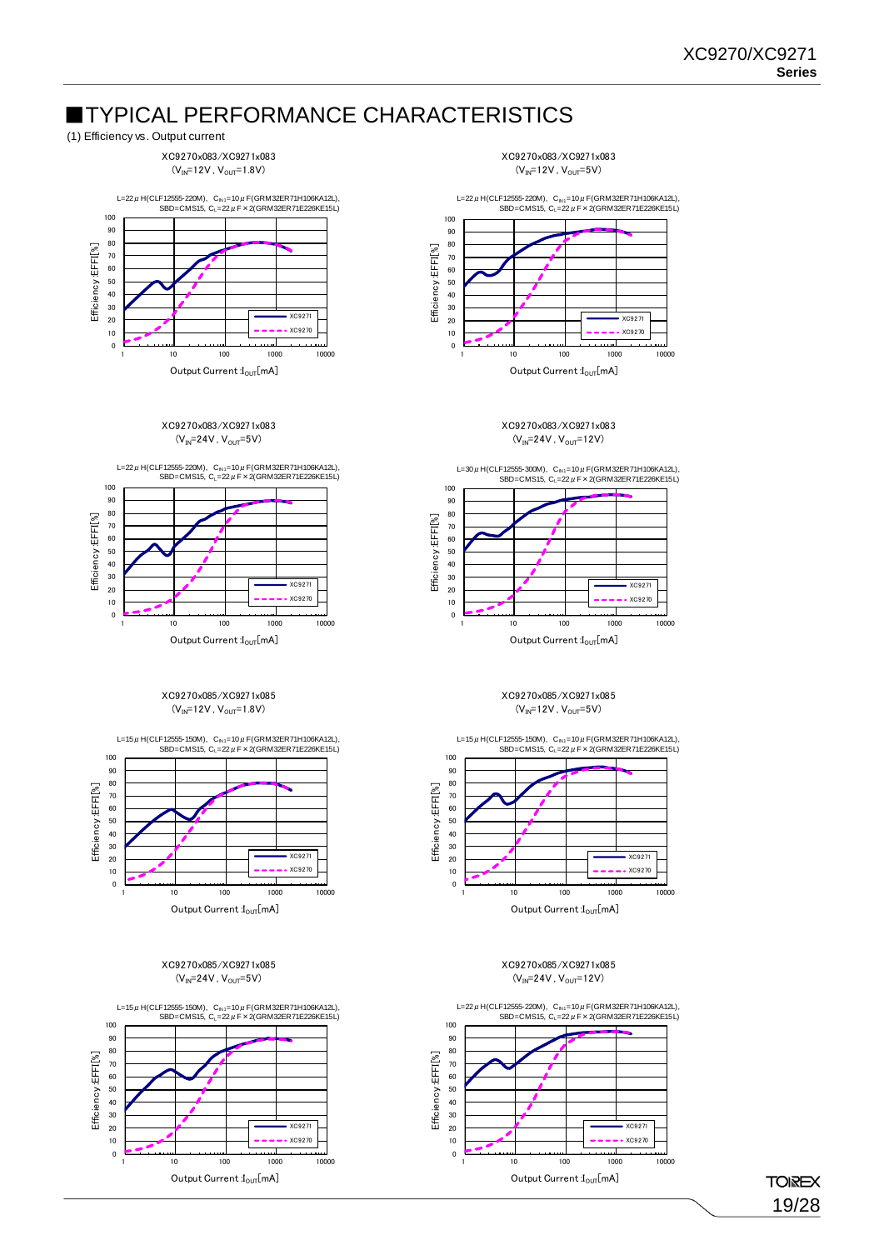### ■TYPICAL PERFORMANCE CHARACTERISTICS (1) Efficiency vs. Output current



XC9270x083/XC9271x083  $(V_{IN} = 24V, V_{OUT} = 5V)$ 



#### XC9270x085/XC9271x085  $(V_{IN} = 12V, V_{OUT} = 1.8V)$



XC9270x085/XC9271x085  $(V_{IN} = 24V, V_{OUT} = 5V)$ 



XC9270x083/XC9271x083  $(V_{IN} = 12V, V_{OUT} = 5V)$ 



XC9270x083/XC9271x083  $(V_{IN} = 24V, V_{OUT} = 12V)$ 



Output Current  $I_{\text{OUT}}[mA]$ 

#### XC9270x085/XC9271x085  $(V_{IN} = 12V, V_{OUT} = 5V)$



XC9270x085/XC9271x085  $(V_{IN} = 24V, V_{OUT} = 12V)$ 



**TOIREX** 19/28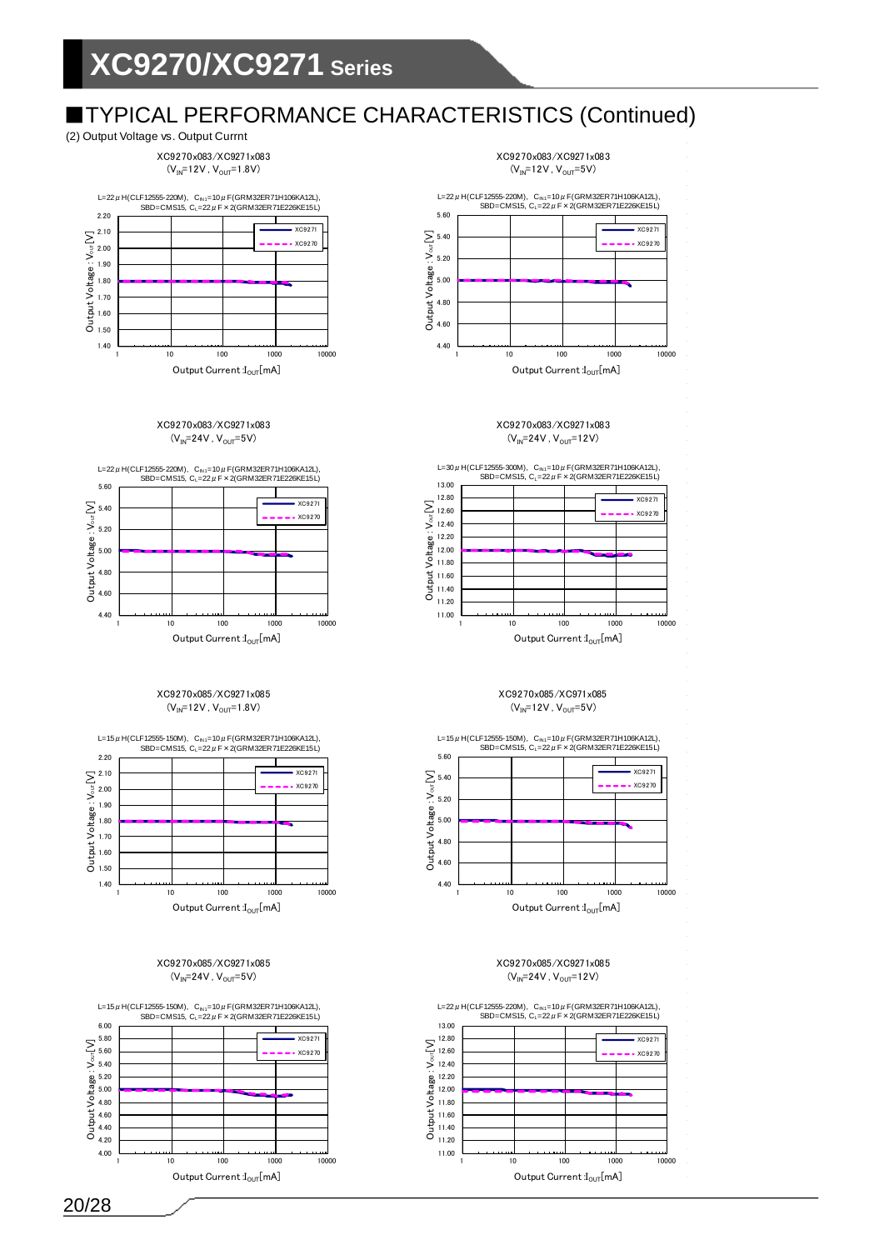### (2) Output Voltage vs. Output Currnt

XC9270x083/XC9271x083  $(V_{IN} = 12V, V_{OUT} = 1.8V)$ 



XC9270x083/XC9271x083  $(V_{IN}=24V, V_{OUT}=5V)$ 



#### XC9270x085/XC9271x085  $(V_{IN} = 12V, V_{OUT} = 1.8V)$



XC9270x085/XC9271x085  $(V_{IN}=24V, V_{OUT}=5V)$ 



XC9270x083/XC9271x083  $(\mathsf{V}_{\text{IN}}\text{=}12\mathsf{V}$  ,  $\mathsf{V}_{\text{OUT}}\text{=}5\mathsf{V})$ 



XC9270x083/XC9271x083  $(V_{IN} = 24V, V_{OUT} = 12V)$ 



Output Current  $I_{\text{OUT}}[mA]$ 

#### XC9270x085/XC971x085  $(V_{IN} = 12V, V_{OUT} = 5V)$



XC9270x085/XC9271x085  $(V_{IN} = 24V, V_{OUT} = 12V)$ 

11.00 11.20 11.40 11.60 11.80 12.00 12.20 12.40 12.60 12.80 13.00 1 10 100 1000 10000  $\mathsf{OutputV}$ oltage : $\mathsf{V}\mathsf{o}$ ut $[\mathsf{V}]$ Output Current  $I_{\text{OUT}}[mA]$ XC9271  $XC9270$ L=22μH(CLF12555-220M), C<sub>N1</sub>=10μF(GRM32ER71H106KA12L),<br>SBD=CMS15, C<sub>L</sub>=22μF×2(GRM32ER71E226KE15L)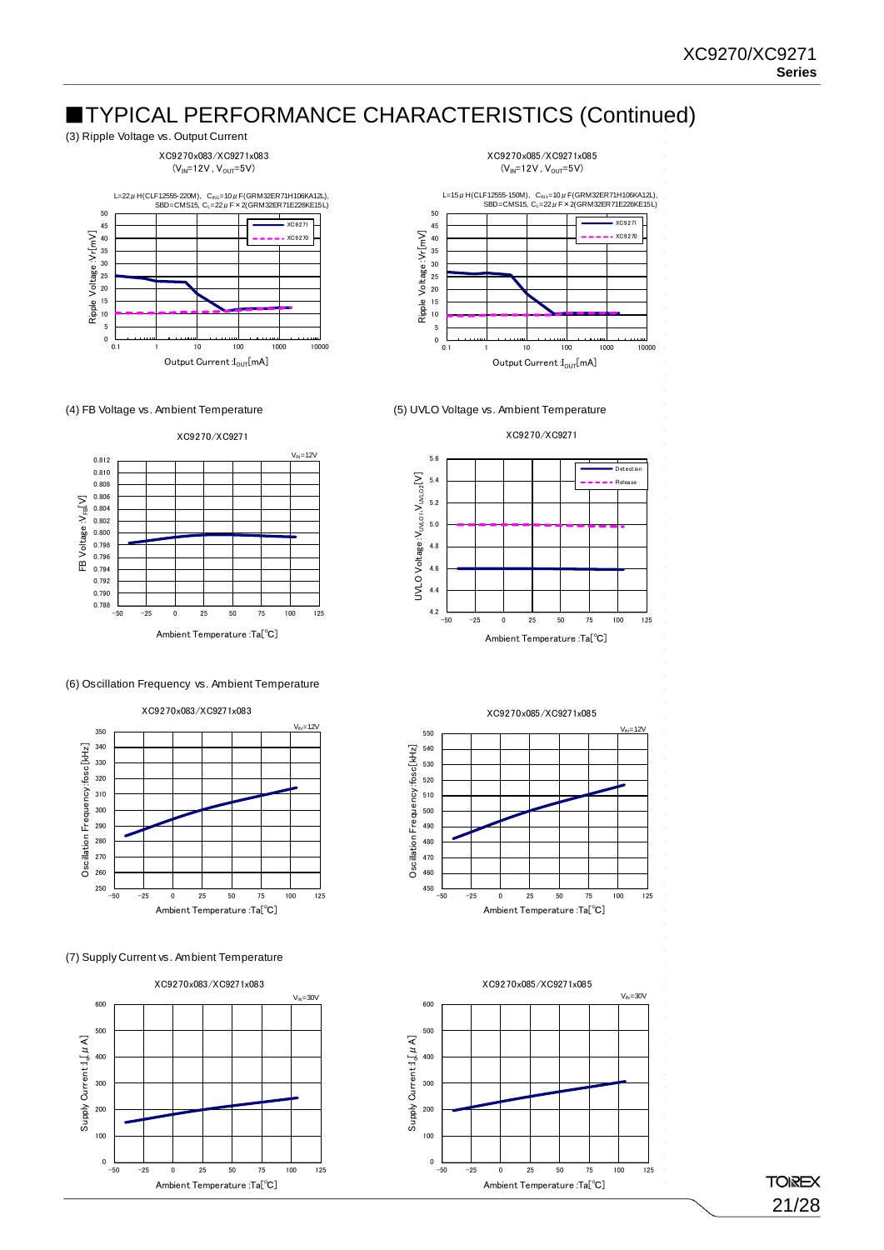

XC9270x083/XC9271x083  $(V_{IN} = 12V, V_{OUT} = 5V)$ 







(6) Oscillation Frequency vs. Ambient Temperature



(7) Supply Current vs. Ambient Temperature











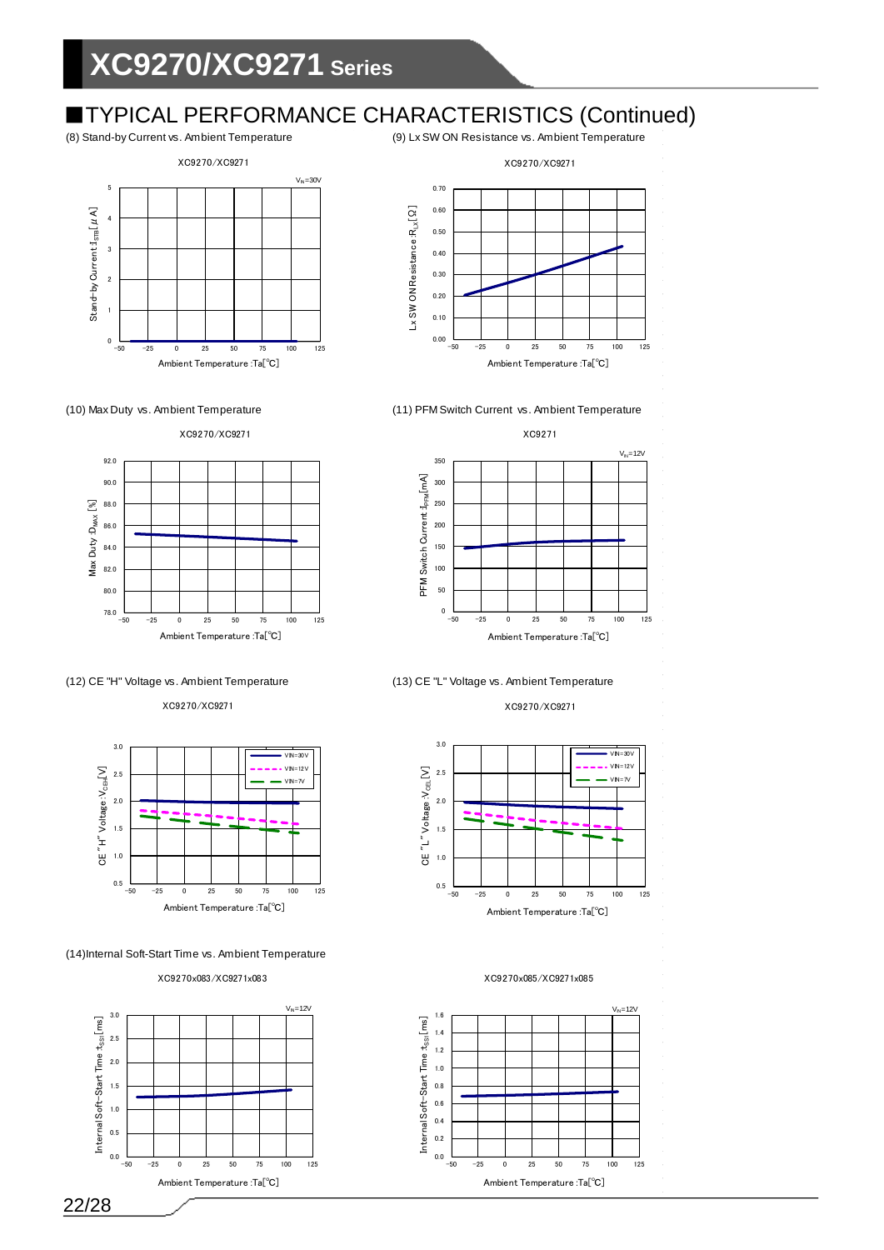# **EXECUTER FORMANCE CHARACTERISTICS (Continued)**<br>(8) Stand-by Current vs. Ambient Temperature (9) Lx SW ON Resistance vs. Ambient Temperature









XC9270/XC9271



(14)Internal Soft-Start Time vs. Ambient Temperature







XC9270/XC9271



(10) Max Duty vs. Ambient Temperature (11) PFM Switch Current vs. Ambient Temperature





XC9270/XC9271



XC9270x085/XC9271x085



22/28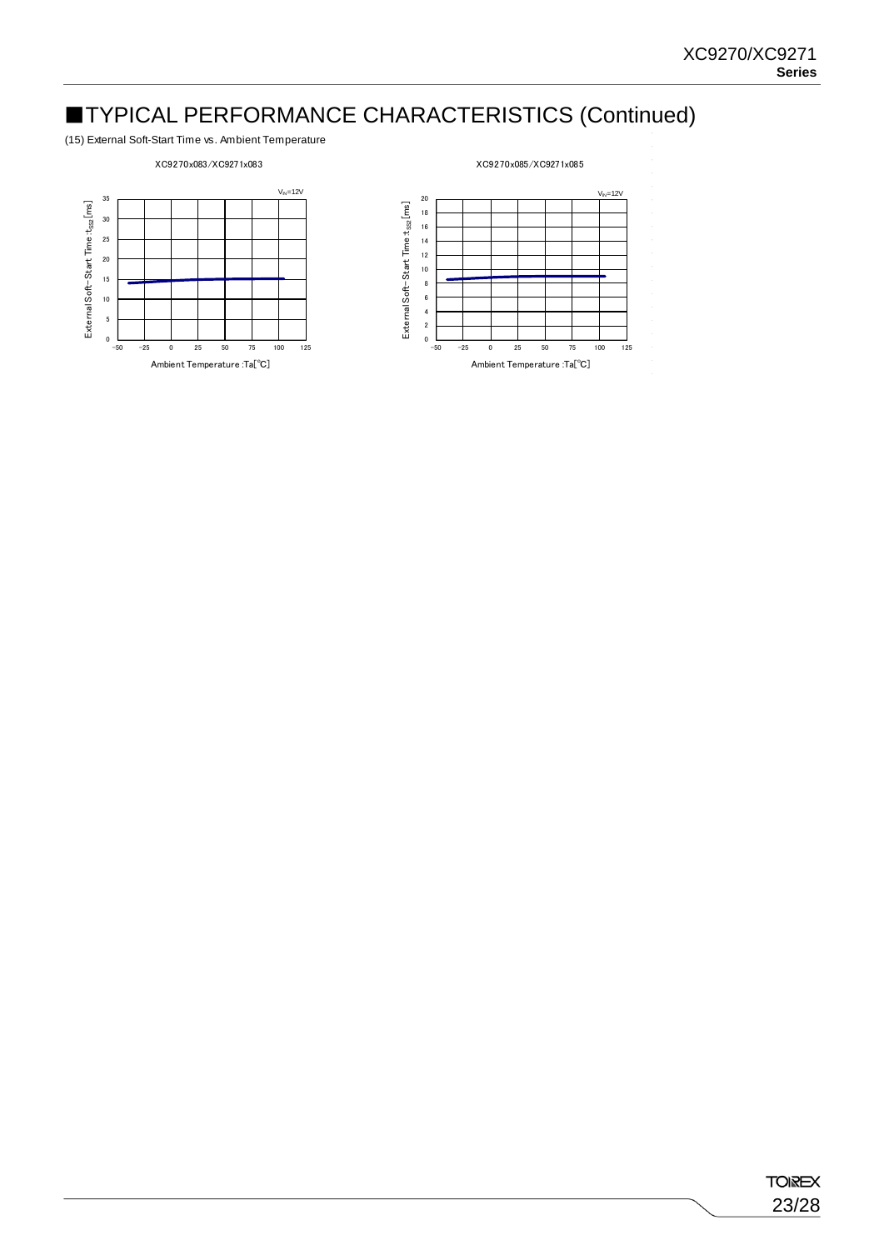(15) External Soft-Start Time vs. Ambient Temperature

### XC9270x083/XC9271x083

#### XC9270x085/XC9271x085



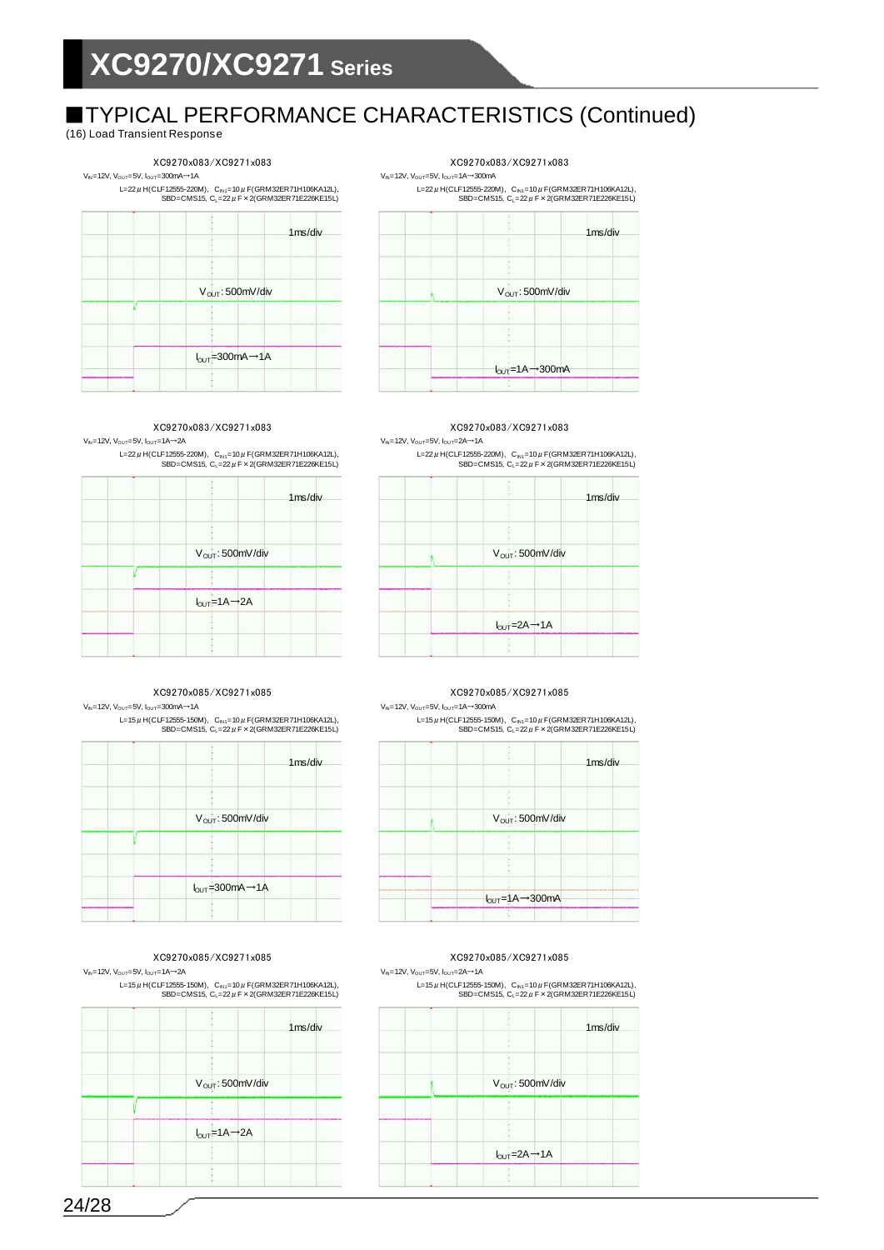(16) Load Transient Response

### XC9270x083/XC9271x083 XC9270x083/XC9271x083

 $V_{\text{N}}$ =12V,  $V_{\text{OUT}}$ =5V,  $I_{\text{OUT}}$ =300mA→1A  $V_{\text{N}}$ =12V,  $V_{\text{OUT}}$ =1A→300mA

L=22μH(CLF12555-220M), C<sub>N1</sub>=10μF(GRM32ER71H106KA12L),<br>SBD=CMS15, C<sub>L</sub>=22μF×2(GRM32ER71E226KE15L)





#### $V_{N}=12V$ ,  $V_{\text{OUT}}=5V$ ,  $I_{\text{OUT}}=1A\rightarrow 2A$   $V_{N}=12V$ ,  $V_{\text{OUT}}=5V$ ,  $I_{\text{OUT}}=2A\rightarrow 1A$ XC9270x083/XC9271x083 XC9270x083/XC9271x083

L=22μH(CLF12555-220M), C<sub>N1</sub>=10μF(GRM32ER71H106KA12L),<br>SBD=CMS15, C<sub>L</sub>=22μF×2(GRM32ER71E226KE15L)

|                               | 1 <sub>ms/div</sub> |
|-------------------------------|---------------------|
| V <sub>OUT</sub> : 500mV/div  |                     |
|                               |                     |
| $I_{OUT} = 1A \rightarrow 2A$ |                     |
|                               |                     |

### $V_{\text{N}}$ =12V, V<sub>OUT</sub>=5V, I<sub>OUT</sub>=300mA→1A  $V_{\text{N}}$ =12V, V<sub>OUT</sub>=5V, I<sub>OUT</sub>=1A→300mA XC9270x085/XC9271x085 XC9270x085/XC9271x085

L=15μH(CLF12555-150M), C<sub>N1</sub>=10μF(GRM32ER71H106KA12L),<br>SBD=CMS15, C<sub>L</sub>=22μF×2(GRM32ER71E226KE15L)

| 1ms/div                                                 |  |
|---------------------------------------------------------|--|
| V <sub>OUT</sub> : 500mV/div                            |  |
|                                                         |  |
| $I_{\text{OUT}} = 300 \text{mA} \rightarrow 1 \text{A}$ |  |

 $V_{\text{N}}$ =12V,  $V_{\text{OUT}}$ =5V,  $I_{\text{OUT}}$ =1A→2A  $V_{\text{N}}$ =12V, V<sub>OUT</sub>=5V,  $I_{\text{OUT}}$ =2A→1A L=15 $\mu$  H(CLF12555-150M),  $C_{N1}$ =10 $\mu$  F(GRM32ER71H106KA12L),



L=22μH(CLF12555-220M), C<sub>N1</sub>=10μF(GRM32ER71H106KA12L),<br>SBD=CMS15, C<sub>L</sub>=22μF×2(GRM32ER71E226KE15L)

| 1 <sub>ms</sub> /div |                               | 1ms/div |
|----------------------|-------------------------------|---------|
|                      |                               |         |
|                      | V <sub>OUT</sub> : 500mV/div  |         |
|                      |                               |         |
|                      |                               |         |
|                      | $I_{OUT} = 2A \rightarrow 1A$ |         |
|                      |                               |         |

L=15μH(CLF12555-150M), C<sub>N1</sub>=10μF(GRM32ER71H106KA12L),<br>SBD=CMS15, C<sub>L</sub>=22μF×2(GRM32ER71E226KE15L)

| 1ms/div |                                                 | 1ms/div |
|---------|-------------------------------------------------|---------|
|         |                                                 |         |
|         |                                                 |         |
|         | V <sub>OUT</sub> : 500mV/div                    |         |
|         |                                                 |         |
|         |                                                 |         |
|         |                                                 |         |
|         | $I_{\text{OUT}} = 1A \rightarrow 300 \text{mA}$ |         |
|         |                                                 |         |

XC9270x085/XC9271x085 XC9270x085/XC9271x085  $L=15\,\mu$  H(CLF12555-150M),  $C_{N1}=10\,\mu$  F(GRM32ER71H106KA12L),

 $SBD=CMS15$ ,  $C_L=22 \mu F \times 2(GRM32ER71E226KE15L)$ 

|                               | 1ms/div |
|-------------------------------|---------|
|                               |         |
| V <sub>OUT</sub> : 500mV/div  |         |
|                               |         |
| $I_{OUT} = 2A \rightarrow 1A$ |         |
|                               |         |

24/28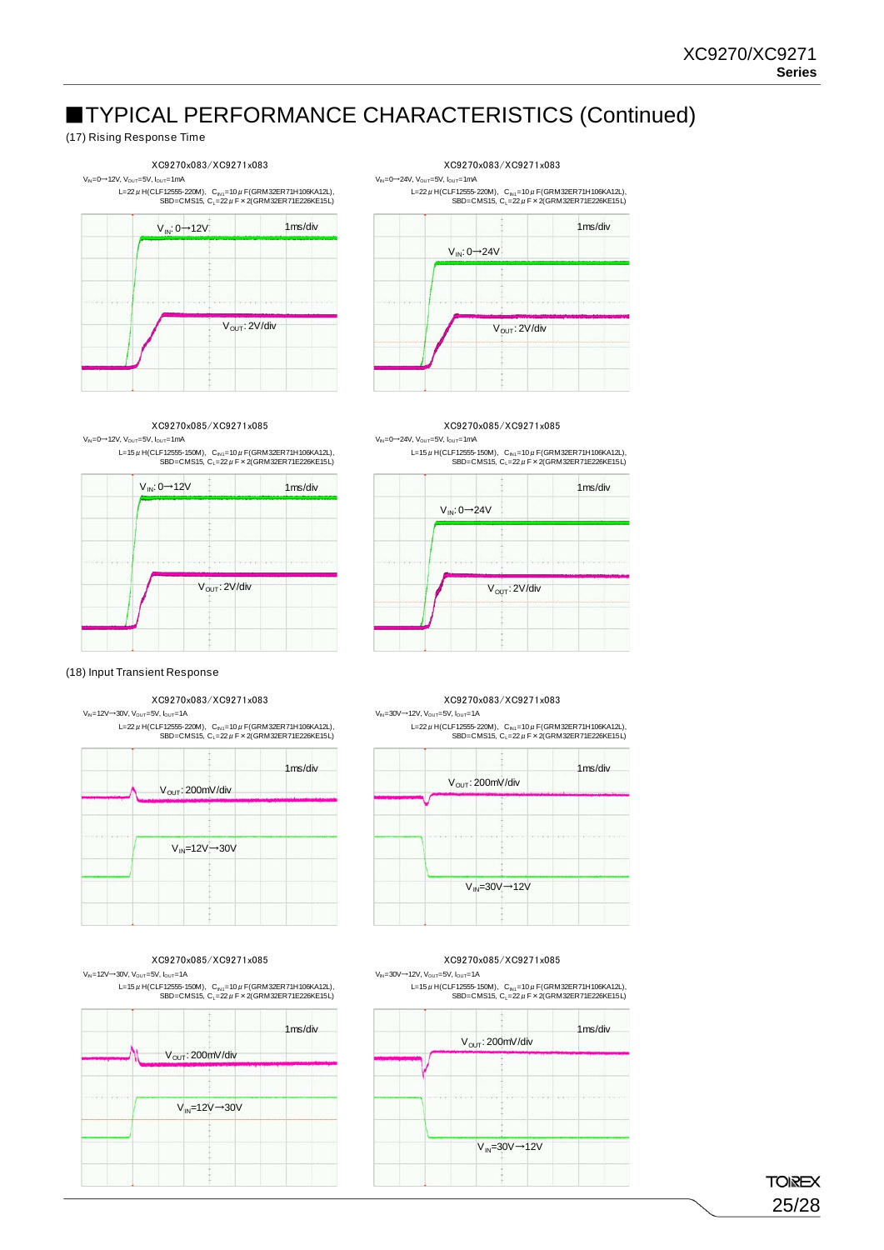### (17) Rising Response Time



L=22μH(CLF12555-220M), C<sub>N1</sub>=10μF(GRM32ER71H106KA12L),<br>SBD=CMS15, C<sub>L</sub>=22μF×2(GRM32ER71E226KE15L)



 $V_{\text{Ni}}$  = 0→12V,  $V_{\text{OUT}}$  = 5V,  $V_{\text{OUT}}$  = 1mA  $V_{\text{Ni}}$  = 0→24V,  $V_{\text{OUT}}$  = 5V,  $V_{\text{OUT}}$  = 1mA XC9270x085/XC9271x085 XC9270x085/XC9271x085

L=15μH(CLF12555-150M), C<sub>IN1</sub>=10μF(GRM32ER71H106KA12L),<br>SBD=CMS15, C<sub>L</sub>=22μF×2(GRM32ER71E226KE15L)





### $V_{\text{N}}$ =12V→30V, V<sub>OUT</sub>=5V, I<sub>OUT</sub>=1A V<sub>N</sub>=30V→12V, V<sub>OUT</sub>=5V, I<sub>OUT</sub>=1A

L=22μH(CLF12555-220M), C<sub>N1</sub>=10μF(GRM32ER71H106KA12L), SBD=CMS15, C<sub>L</sub>=22μF×2(GRM32ER71E226KE15L)



 $V_{\rm{N}}$ =12V→30V, V<sub>OUT</sub>=5V, I<sub>OUT</sub>=1A  $V_{\rm{N}}$ =30V→12V, V<sub>OUT</sub>=5V, I<sub>OUT</sub>=1A XC9270x085/XC9271x085 XC9270x085/XC9271x085



L=15μ H(CLF12555-150M), C<sub>N1</sub>=10μ F(GRM32ER71H106KA12L),<br>SBD=CMS15, C<sub>L</sub>=22μ F × 2(GRM32ER71E226KE15L)



### XC9270x083/XC9271x083 XC9270x083/XC9271x083

L=22μH(CLF12555-220M), C<sub>N1</sub>=10μF(GRM32ER71H106KA12L), SBD=CMS15, C<sub>L</sub>=22 μ F × 2(GRM32ER71E226KE15L)

| 1ms/div | V <sub>OUT</sub> : 200mV/div |                                | 1ms/div |
|---------|------------------------------|--------------------------------|---------|
|         |                              |                                |         |
|         |                              |                                |         |
|         |                              |                                |         |
|         |                              |                                |         |
|         |                              | $V_{IN} = 30V \rightarrow 12V$ |         |

L=15μ H(CLF12555-150M), C<sub>N1</sub>=10μ F(GRM32ER71H106KA12L),<br>SBD=CMS15, C<sub>L</sub>=22μ F × 2(GRM32ER71E226KE15L)



**TOIREX** 25/28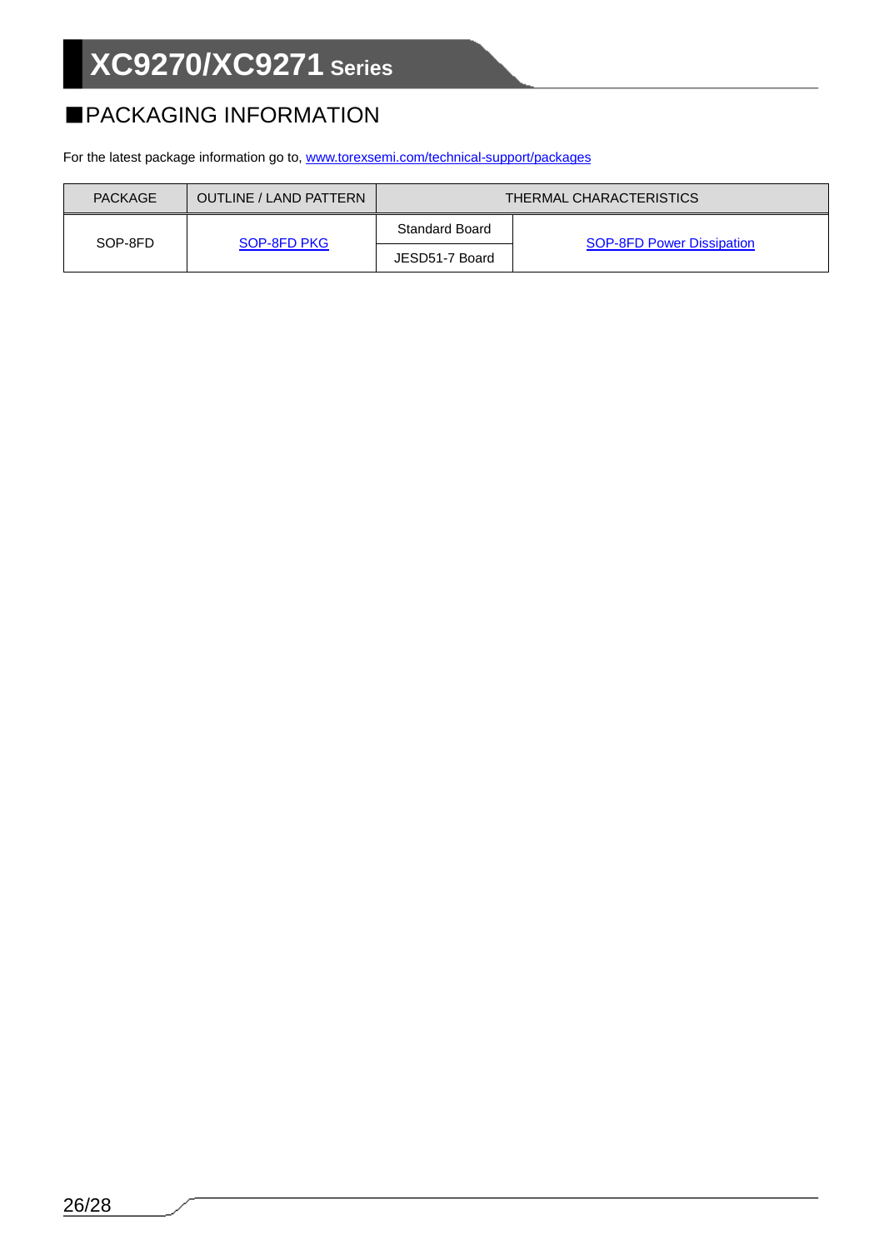## ■PACKAGING INFORMATION

For the latest package information go to, [www.torexsemi.com/technical-support/packages](https://www.torexsemi.com/technical-support/packages/)

| <b>PACKAGE</b> | OUTLINE / LAND PATTERN | THERMAL CHARACTERISTICS |                                  |
|----------------|------------------------|-------------------------|----------------------------------|
| SOP-8FD        |                        | <b>Standard Board</b>   |                                  |
|                | SOP-8FD PKG            | JESD51-7 Board          | <b>SOP-8FD Power Dissipation</b> |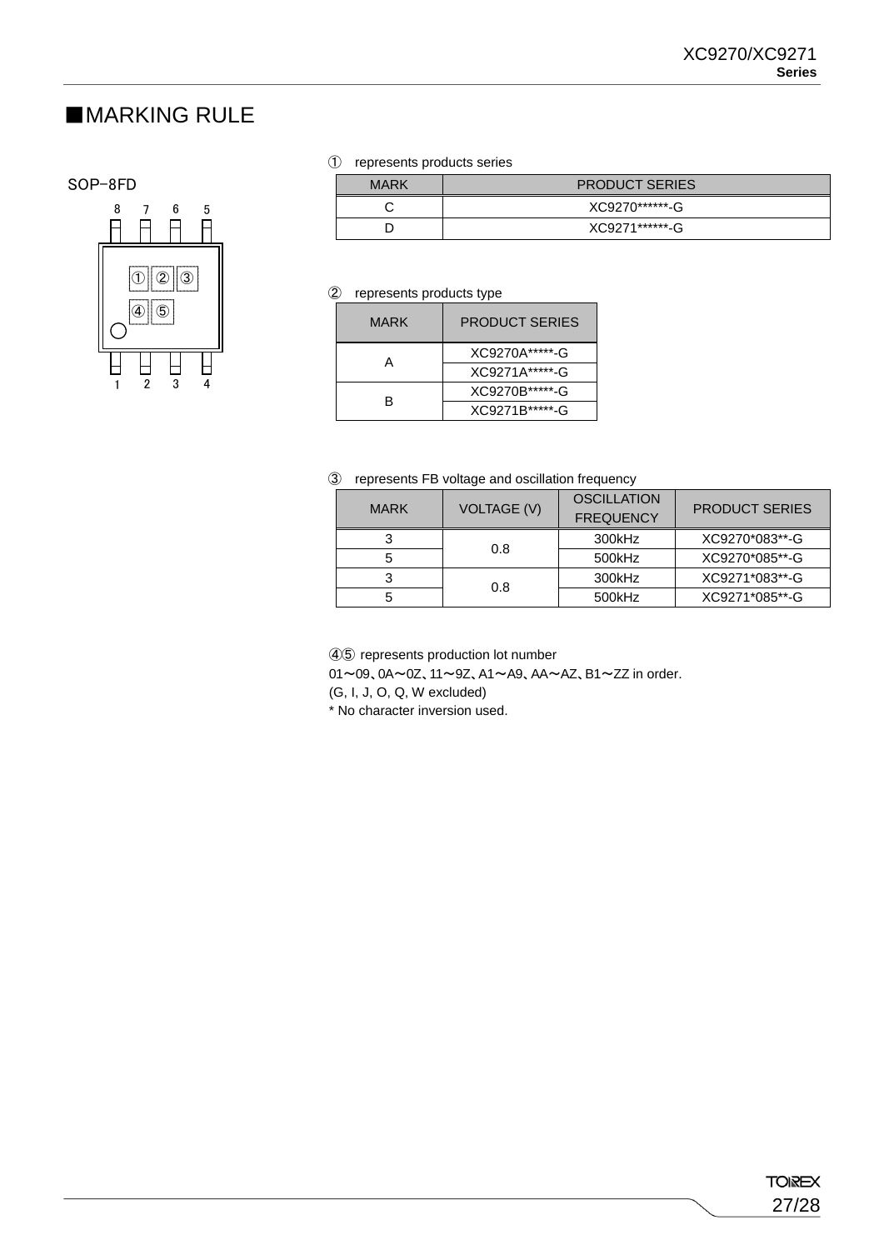### ■MARKING RULE

### SOP-8FD



### ① represents products series

| <b>MARK</b> | <b>PRODUCT SERIES</b> |  |
|-------------|-----------------------|--|
|             | XC9270******-G        |  |
|             | XC9271*******-G       |  |

### ② represents products type

| MARK | <b>PRODUCT SERIFS</b> |
|------|-----------------------|
|      | XC9270A*****-G        |
| А    | XC9271A*****-G        |
| R    | XC9270B*****-G        |
|      | XC9271B*****-G        |

### ③ represents FB voltage and oscillation frequency

| <b>MARK</b> | <b>VOLTAGE (V)</b> | <b>OSCILLATION</b><br><b>FREQUENCY</b> | <b>PRODUCT SERIES</b> |
|-------------|--------------------|----------------------------------------|-----------------------|
|             | 0.8                | 300kHz                                 | XC9270*083**-G        |
|             |                    | 500kHz                                 | XC9270*085**-G        |
|             | 0.8                | 300kHz                                 | XC9271*083**-G        |
|             |                    | 500kHz                                 | XC9271*085**-G        |

④⑤ represents production lot number 01~09、0A~0Z、11~9Z、A1~A9、AA~AZ、B1~ZZ in order. (G, I, J, O, Q, W excluded)

\* No character inversion used.